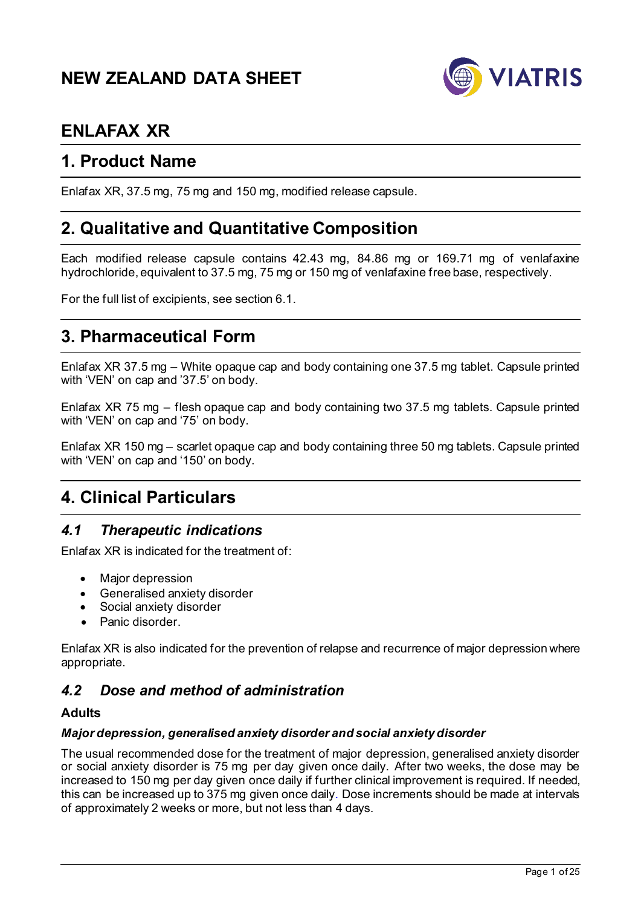# **NEW ZEALAND DATA SHEET**



# **ENLAFAX XR**

# **1. Product Name**

Enlafax XR, 37.5 mg, 75 mg and 150 mg, modified release capsule.

# **2. Qualitative and Quantitative Composition**

Each modified release capsule contains 42.43 mg, 84.86 mg or 169.71 mg of venlafaxine hydrochloride, equivalent to 37.5 mg, 75 mg or 150 mg of venlafaxine free base, respectively.

For the full list of excipients, see section 6.1.

# **3. Pharmaceutical Form**

Enlafax XR 37.5 mg – White opaque cap and body containing one 37.5 mg tablet. Capsule printed with 'VEN' on cap and '37.5' on body.

Enlafax XR 75 mg – flesh opaque cap and body containing two 37.5 mg tablets. Capsule printed with 'VEN' on cap and '75' on body.

Enlafax XR 150 mg – scarlet opaque cap and body containing three 50 mg tablets. Capsule printed with 'VEN' on cap and '150' on body.

# **4. Clinical Particulars**

# *4.1 Therapeutic indications*

Enlafax XR is indicated for the treatment of:

- Major depression
- Generalised anxiety disorder
- Social anxiety disorder
- Panic disorder.

Enlafax XR is also indicated for the prevention of relapse and recurrence of major depression where appropriate.

# *4.2 Dose and method of administration*

#### **Adults**

#### *Major depression, generalised anxiety disorder and social anxiety disorder*

The usual recommended dose for the treatment of major depression, generalised anxiety disorder or social anxiety disorder is 75 mg per day given once daily. After two weeks, the dose may be increased to 150 mg per day given once daily if further clinical improvement is required. If needed, this can be increased up to 375 mg given once daily. Dose increments should be made at intervals of approximately 2 weeks or more, but not less than 4 days.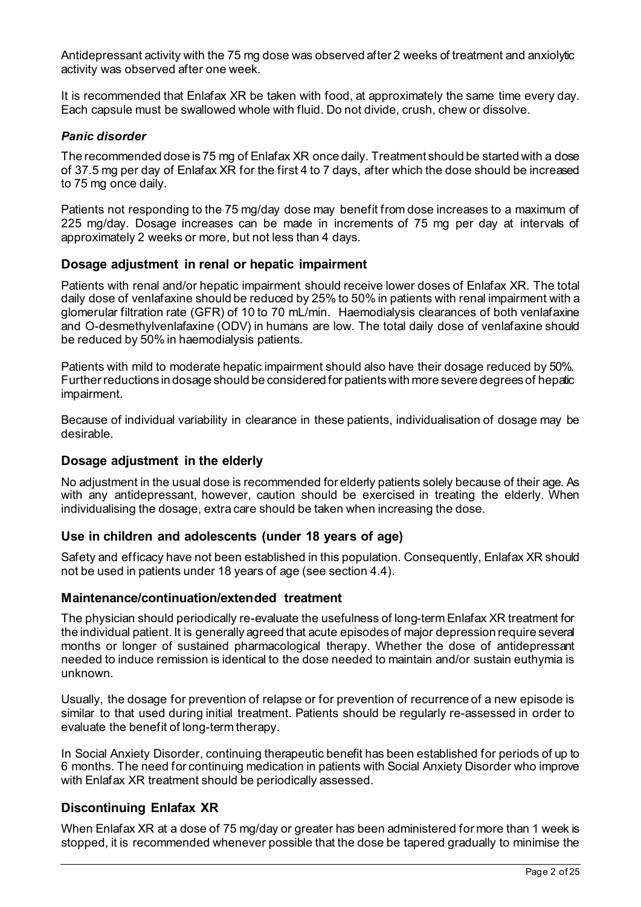Antidepressant activity with the 75 mg dose was observed after 2 weeks of treatment and anxiolytic activity was observed after one week.

It is recommended that Enlafax XR be taken with food, at approximately the same time every day. Each capsule must be swallowed whole with fluid. Do not divide, crush, chew or dissolve.

#### *Panic disorder*

The recommended dose is 75 mg of Enlafax XR once daily. Treatment should be started with a dose of 37.5 mg per day of Enlafax XR for the first 4 to 7 days, after which the dose should be increased to 75 mg once daily.

Patients not responding to the 75 mg/day dose may benefit from dose increases to a maximum of 225 mg/day. Dosage increases can be made in increments of 75 mg per day at intervals of approximately 2 weeks or more, but not less than 4 days.

### **Dosage adjustment in renal or hepatic impairment**

Patients with renal and/or hepatic impairment should receive lower doses of Enlafax XR. The total daily dose of venlafaxine should be reduced by 25% to 50% in patients with renal impairment with a glomerular filtration rate (GFR) of 10 to 70 mL/min. Haemodialysis clearances of both venlafaxine and O-desmethylvenlafaxine (ODV) in humans are low. The total daily dose of venlafaxine should be reduced by 50% in haemodialysis patients.

Patients with mild to moderate hepatic impairment should also have their dosage reduced by 50%. Further reductions in dosage should be considered for patients with more severe degrees of hepatic impairment.

Because of individual variability in clearance in these patients, individualisation of dosage may be desirable.

#### **Dosage adjustment in the elderly**

No adjustment in the usual dose is recommended for elderly patients solely because of their age. As with any antidepressant, however, caution should be exercised in treating the elderly. When individualising the dosage, extra care should be taken when increasing the dose.

#### **Use in children and adolescents (under 18 years of age)**

Safety and efficacy have not been established in this population. Consequently, Enlafax XR should not be used in patients under 18 years of age (see section 4.4).

#### **Maintenance/continuation/extended treatment**

The physician should periodically re-evaluate the usefulness of long-term Enlafax XR treatment for the individual patient. It is generally agreed that acute episodes of major depression require several months or longer of sustained pharmacological therapy. Whether the dose of antidepressant needed to induce remission is identical to the dose needed to maintain and/or sustain euthymia is unknown.

Usually, the dosage for prevention of relapse or for prevention of recurrence of a new episode is similar to that used during initial treatment. Patients should be regularly re-assessed in order to evaluate the benefit of long-term therapy.

In Social Anxiety Disorder, continuing therapeutic benefit has been established for periods of up to 6 months. The need for continuing medication in patients with Social Anxiety Disorder who improve with Enlafax XR treatment should be periodically assessed.

# **Discontinuing Enlafax XR**

When Enlafax XR at a dose of 75 mg/day or greater has been administered for more than 1 week is stopped, it is recommended whenever possible that the dose be tapered gradually to minimise the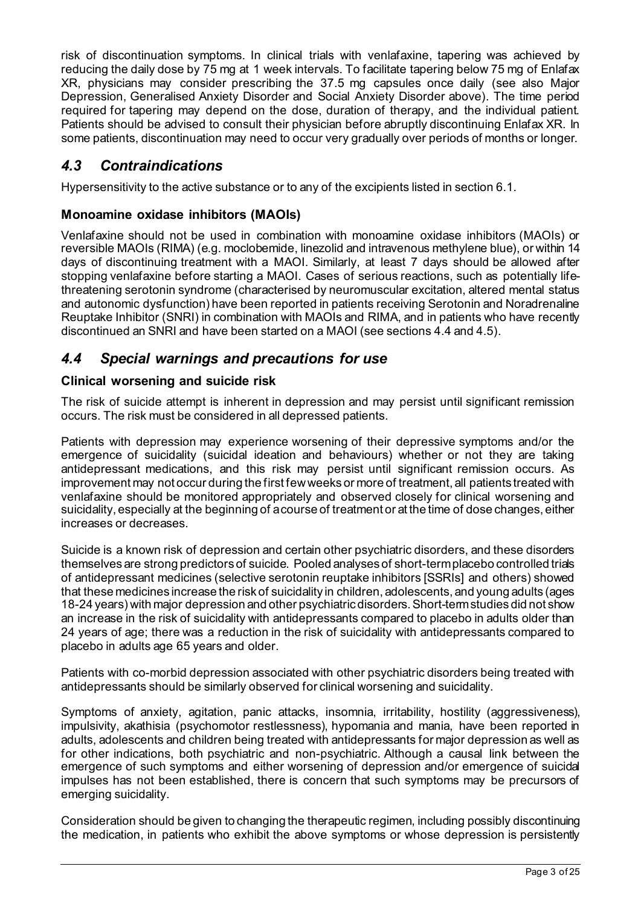risk of discontinuation symptoms. In clinical trials with venlafaxine, tapering was achieved by reducing the daily dose by 75 mg at 1 week intervals. To facilitate tapering below 75 mg of Enlafax XR, physicians may consider prescribing the 37.5 mg capsules once daily (see also Major Depression, Generalised Anxiety Disorder and Social Anxiety Disorder above). The time period required for tapering may depend on the dose, duration of therapy, and the individual patient. Patients should be advised to consult their physician before abruptly discontinuing Enlafax XR. In some patients, discontinuation may need to occur very gradually over periods of months or longer.

# *4.3 Contraindications*

Hypersensitivity to the active substance or to any of the excipients listed in section 6.1.

# **Monoamine oxidase inhibitors (MAOIs)**

Venlafaxine should not be used in combination with monoamine oxidase inhibitors (MAOIs) or reversible MAOIs (RIMA) (e.g. moclobemide, linezolid and intravenous methylene blue), or within 14 days of discontinuing treatment with a MAOI. Similarly, at least 7 days should be allowed after stopping venlafaxine before starting a MAOI. Cases of serious reactions, such as potentially lifethreatening serotonin syndrome (characterised by neuromuscular excitation, altered mental status and autonomic dysfunction) have been reported in patients receiving Serotonin and Noradrenaline Reuptake Inhibitor (SNRI) in combination with MAOIs and RIMA, and in patients who have recently discontinued an SNRI and have been started on a MAOI (see sections 4.4 and 4.5).

# *4.4 Special warnings and precautions for use*

# **Clinical worsening and suicide risk**

The risk of suicide attempt is inherent in depression and may persist until significant remission occurs. The risk must be considered in all depressed patients.

Patients with depression may experience worsening of their depressive symptoms and/or the emergence of suicidality (suicidal ideation and behaviours) whether or not they are taking antidepressant medications, and this risk may persist until significant remission occurs. As improvement may not occur during the first few weeks or more of treatment, all patients treated with venlafaxine should be monitored appropriately and observed closely for clinical worsening and suicidality, especially at the beginning of a course of treatment or at the time of dose changes, either increases or decreases.

Suicide is a known risk of depression and certain other psychiatric disorders, and these disorders themselves are strong predictors of suicide. Pooled analyses of short-term placebo controlled trials of antidepressant medicines (selective serotonin reuptake inhibitors [SSRIs] and others) showed that these medicines increase the risk of suicidality in children, adolescents, and young adults (ages 18-24 years) with major depression and other psychiatric disorders. Short-term studies did not show an increase in the risk of suicidality with antidepressants compared to placebo in adults older than 24 years of age; there was a reduction in the risk of suicidality with antidepressants compared to placebo in adults age 65 years and older.

Patients with co-morbid depression associated with other psychiatric disorders being treated with antidepressants should be similarly observed for clinical worsening and suicidality.

Symptoms of anxiety, agitation, panic attacks, insomnia, irritability, hostility (aggressiveness), impulsivity, akathisia (psychomotor restlessness), hypomania and mania, have been reported in adults, adolescents and children being treated with antidepressants for major depression as well as for other indications, both psychiatric and non-psychiatric. Although a causal link between the emergence of such symptoms and either worsening of depression and/or emergence of suicidal impulses has not been established, there is concern that such symptoms may be precursors of emerging suicidality.

Consideration should be given to changing the therapeutic regimen, including possibly discontinuing the medication, in patients who exhibit the above symptoms or whose depression is persistently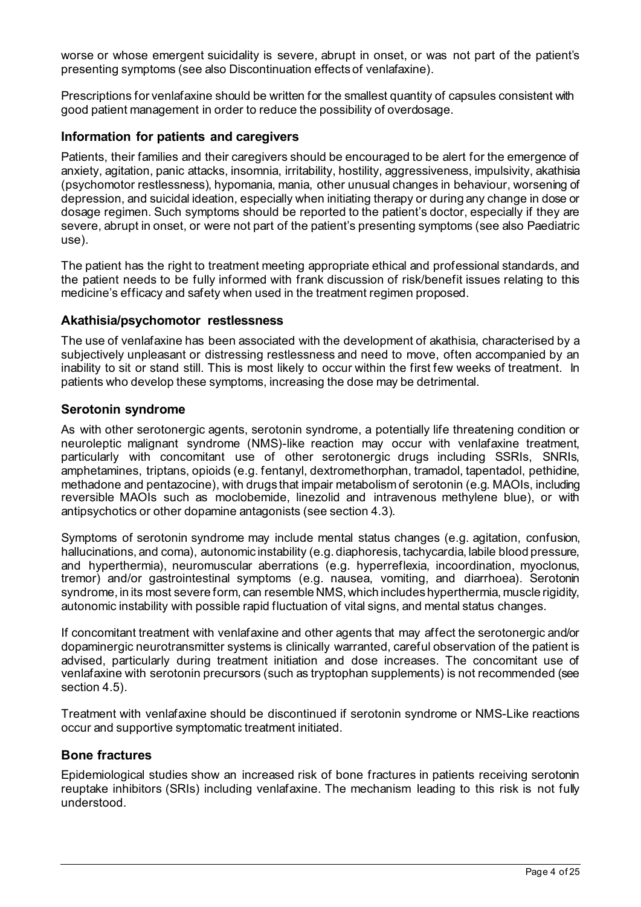worse or whose emergent suicidality is severe, abrupt in onset, or was not part of the patient's presenting symptoms (see also Discontinuation effects of venlafaxine).

Prescriptions for venlafaxine should be written for the smallest quantity of capsules consistent with good patient management in order to reduce the possibility of overdosage.

### **Information for patients and caregivers**

Patients, their families and their caregivers should be encouraged to be alert for the emergence of anxiety, agitation, panic attacks, insomnia, irritability, hostility, aggressiveness, impulsivity, akathisia (psychomotor restlessness), hypomania, mania, other unusual changes in behaviour, worsening of depression, and suicidal ideation, especially when initiating therapy or during any change in dose or dosage regimen. Such symptoms should be reported to the patient's doctor, especially if they are severe, abrupt in onset, or were not part of the patient's presenting symptoms (see also Paediatric use).

The patient has the right to treatment meeting appropriate ethical and professional standards, and the patient needs to be fully informed with frank discussion of risk/benefit issues relating to this medicine's efficacy and safety when used in the treatment regimen proposed.

#### **Akathisia/psychomotor restlessness**

The use of venlafaxine has been associated with the development of akathisia, characterised by a subjectively unpleasant or distressing restlessness and need to move, often accompanied by an inability to sit or stand still. This is most likely to occur within the first few weeks of treatment. In patients who develop these symptoms, increasing the dose may be detrimental.

#### **Serotonin syndrome**

As with other serotonergic agents, serotonin syndrome, a potentially life threatening condition or neuroleptic malignant syndrome (NMS)-like reaction may occur with venlafaxine treatment, particularly with concomitant use of other serotonergic drugs including SSRIs, SNRIs, amphetamines, triptans, opioids (e.g. fentanyl, dextromethorphan, tramadol, tapentadol, pethidine, methadone and pentazocine), with drugs that impair metabolism of serotonin (e.g. MAOIs, including reversible MAOIs such as moclobemide, linezolid and intravenous methylene blue), or with antipsychotics or other dopamine antagonists (see section 4.3).

Symptoms of serotonin syndrome may include mental status changes (e.g. agitation, confusion, hallucinations, and coma), autonomic instability (e.g. diaphoresis, tachycardia, labile blood pressure, and hyperthermia), neuromuscular aberrations (e.g. hyperreflexia, incoordination, myoclonus, tremor) and/or gastrointestinal symptoms (e.g. nausea, vomiting, and diarrhoea). Serotonin syndrome, in its most severe form, can resemble NMS, which includes hyperthermia, muscle rigidity, autonomic instability with possible rapid fluctuation of vital signs, and mental status changes.

If concomitant treatment with venlafaxine and other agents that may affect the serotonergic and/or dopaminergic neurotransmitter systems is clinically warranted, careful observation of the patient is advised, particularly during treatment initiation and dose increases. The concomitant use of venlafaxine with serotonin precursors (such as tryptophan supplements) is not recommended (see section 4.5).

Treatment with venlafaxine should be discontinued if serotonin syndrome or NMS-Like reactions occur and supportive symptomatic treatment initiated.

# **Bone fractures**

Epidemiological studies show an increased risk of bone fractures in patients receiving serotonin reuptake inhibitors (SRIs) including venlafaxine. The mechanism leading to this risk is not fully understood.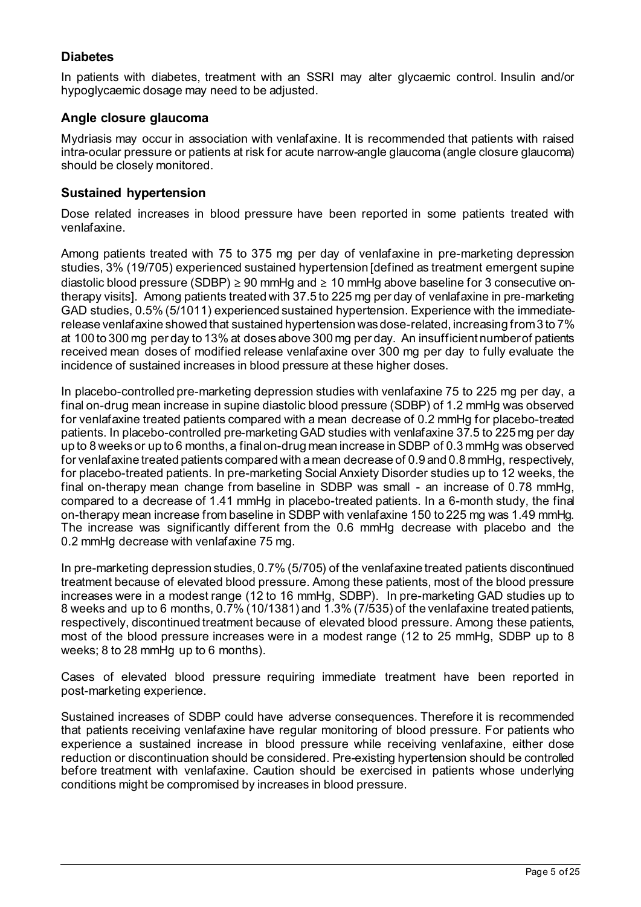# **Diabetes**

In patients with diabetes, treatment with an SSRI may alter glycaemic control. Insulin and/or hypoglycaemic dosage may need to be adjusted.

# **Angle closure glaucoma**

Mydriasis may occur in association with venlafaxine. It is recommended that patients with raised intra-ocular pressure or patients at risk for acute narrow-angle glaucoma (angle closure glaucoma) should be closely monitored.

### **Sustained hypertension**

Dose related increases in blood pressure have been reported in some patients treated with venlafaxine.

Among patients treated with 75 to 375 mg per day of venlafaxine in pre-marketing depression studies, 3% (19/705) experienced sustained hypertension [defined as treatment emergent supine diastolic blood pressure (SDBP)  $\geq 90$  mmHg and  $\geq 10$  mmHg above baseline for 3 consecutive ontherapy visits]. Among patients treated with 37.5 to 225 mg per day of venlafaxine in pre-marketing GAD studies, 0.5% (5/1011) experienced sustained hypertension. Experience with the immediaterelease venlafaxine showed that sustained hypertension was dose-related, increasing from 3 to 7% at 100 to 300 mg per day to 13% at doses above 300 mg per day. An insufficient number of patients received mean doses of modified release venlafaxine over 300 mg per day to fully evaluate the incidence of sustained increases in blood pressure at these higher doses.

In placebo-controlled pre-marketing depression studies with venlafaxine 75 to 225 mg per day, a final on-drug mean increase in supine diastolic blood pressure (SDBP) of 1.2 mmHg was observed for venlafaxine treated patients compared with a mean decrease of 0.2 mmHg for placebo-treated patients. In placebo-controlled pre-marketing GAD studies with venlafaxine 37.5 to 225 mg per day up to 8 weeks or up to 6 months, a final on-drug mean increase in SDBP of 0.3 mmHg was observed for venlafaxine treated patients compared with a mean decrease of 0.9 and 0.8 mmHg, respectively, for placebo-treated patients. In pre-marketing Social Anxiety Disorder studies up to 12 weeks, the final on-therapy mean change from baseline in SDBP was small - an increase of 0.78 mmHg, compared to a decrease of 1.41 mmHg in placebo-treated patients. In a 6-month study, the final on-therapy mean increase from baseline in SDBP with venlafaxine 150 to 225 mg was 1.49 mmHg. The increase was significantly different from the 0.6 mmHg decrease with placebo and the 0.2 mmHg decrease with venlafaxine 75 mg.

In pre-marketing depression studies, 0.7% (5/705) of the venlafaxine treated patients discontinued treatment because of elevated blood pressure. Among these patients, most of the blood pressure increases were in a modest range (12 to 16 mmHg, SDBP). In pre-marketing GAD studies up to 8 weeks and up to 6 months, 0.7% (10/1381) and 1.3% (7/535) of the venlafaxine treated patients, respectively, discontinued treatment because of elevated blood pressure. Among these patients, most of the blood pressure increases were in a modest range (12 to 25 mmHg, SDBP up to 8 weeks; 8 to 28 mmHg up to 6 months).

Cases of elevated blood pressure requiring immediate treatment have been reported in post-marketing experience.

Sustained increases of SDBP could have adverse consequences. Therefore it is recommended that patients receiving venlafaxine have regular monitoring of blood pressure. For patients who experience a sustained increase in blood pressure while receiving venlafaxine, either dose reduction or discontinuation should be considered. Pre-existing hypertension should be controlled before treatment with venlafaxine. Caution should be exercised in patients whose underlying conditions might be compromised by increases in blood pressure.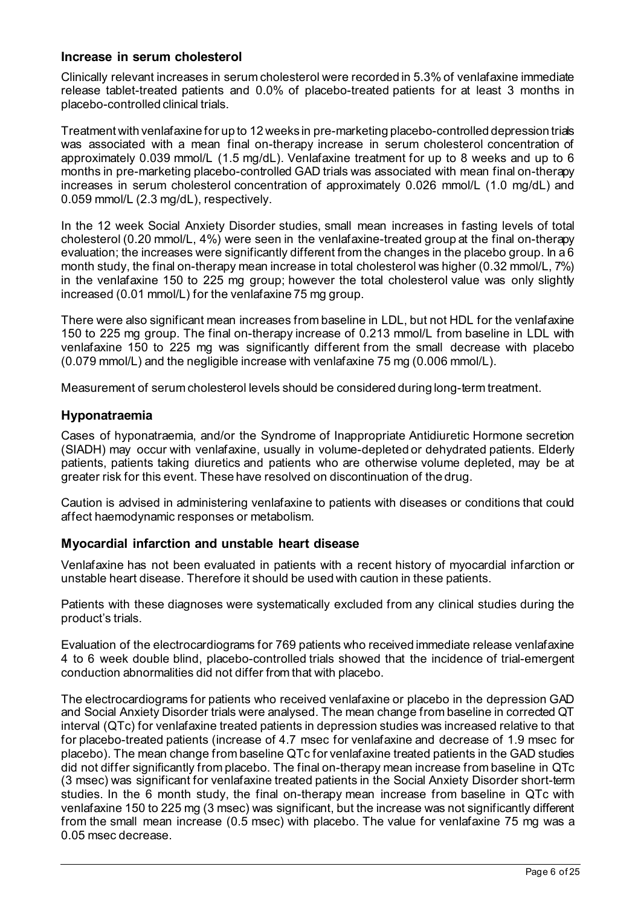# **Increase in serum cholesterol**

Clinically relevant increases in serum cholesterol were recorded in 5.3% of venlafaxine immediate release tablet-treated patients and 0.0% of placebo-treated patients for at least 3 months in placebo-controlled clinical trials.

Treatment with venlafaxine for up to 12 weeks in pre-marketing placebo-controlled depression trials was associated with a mean final on-therapy increase in serum cholesterol concentration of approximately 0.039 mmol/L (1.5 mg/dL). Venlafaxine treatment for up to 8 weeks and up to 6 months in pre-marketing placebo-controlled GAD trials was associated with mean final on-therapy increases in serum cholesterol concentration of approximately 0.026 mmol/L (1.0 mg/dL) and 0.059 mmol/L (2.3 mg/dL), respectively.

In the 12 week Social Anxiety Disorder studies, small mean increases in fasting levels of total cholesterol (0.20 mmol/L, 4%) were seen in the venlafaxine-treated group at the final on-therapy evaluation; the increases were significantly different from the changes in the placebo group. In a 6 month study, the final on-therapy mean increase in total cholesterol was higher (0.32 mmol/L, 7%) in the venlafaxine 150 to 225 mg group; however the total cholesterol value was only slightly increased (0.01 mmol/L) for the venlafaxine 75 mg group.

There were also significant mean increases from baseline in LDL, but not HDL for the venlafaxine 150 to 225 mg group. The final on-therapy increase of 0.213 mmol/L from baseline in LDL with venlafaxine 150 to 225 mg was significantly different from the small decrease with placebo (0.079 mmol/L) and the negligible increase with venlafaxine 75 mg (0.006 mmol/L).

Measurement of serum cholesterol levels should be considered during long-term treatment.

### **Hyponatraemia**

Cases of hyponatraemia, and/or the Syndrome of Inappropriate Antidiuretic Hormone secretion (SIADH) may occur with venlafaxine, usually in volume-depleted or dehydrated patients. Elderly patients, patients taking diuretics and patients who are otherwise volume depleted, may be at greater risk for this event. These have resolved on discontinuation of the drug.

Caution is advised in administering venlafaxine to patients with diseases or conditions that could affect haemodynamic responses or metabolism.

# **Myocardial infarction and unstable heart disease**

Venlafaxine has not been evaluated in patients with a recent history of myocardial infarction or unstable heart disease. Therefore it should be used with caution in these patients.

Patients with these diagnoses were systematically excluded from any clinical studies during the product's trials.

Evaluation of the electrocardiograms for 769 patients who received immediate release venlafaxine 4 to 6 week double blind, placebo-controlled trials showed that the incidence of trial-emergent conduction abnormalities did not differ from that with placebo.

The electrocardiograms for patients who received venlafaxine or placebo in the depression GAD and Social Anxiety Disorder trials were analysed. The mean change from baseline in corrected QT interval (QTc) for venlafaxine treated patients in depression studies was increased relative to that for placebo-treated patients (increase of 4.7 msec for venlafaxine and decrease of 1.9 msec for placebo). The mean change from baseline QTc for venlafaxine treated patients in the GAD studies did not differ significantly from placebo. The final on-therapy mean increase from baseline in QTc (3 msec) was significant for venlafaxine treated patients in the Social Anxiety Disorder short-term studies. In the 6 month study, the final on-therapy mean increase from baseline in QTc with venlafaxine 150 to 225 mg (3 msec) was significant, but the increase was not significantly different from the small mean increase (0.5 msec) with placebo. The value for venlafaxine 75 mg was a 0.05 msec decrease.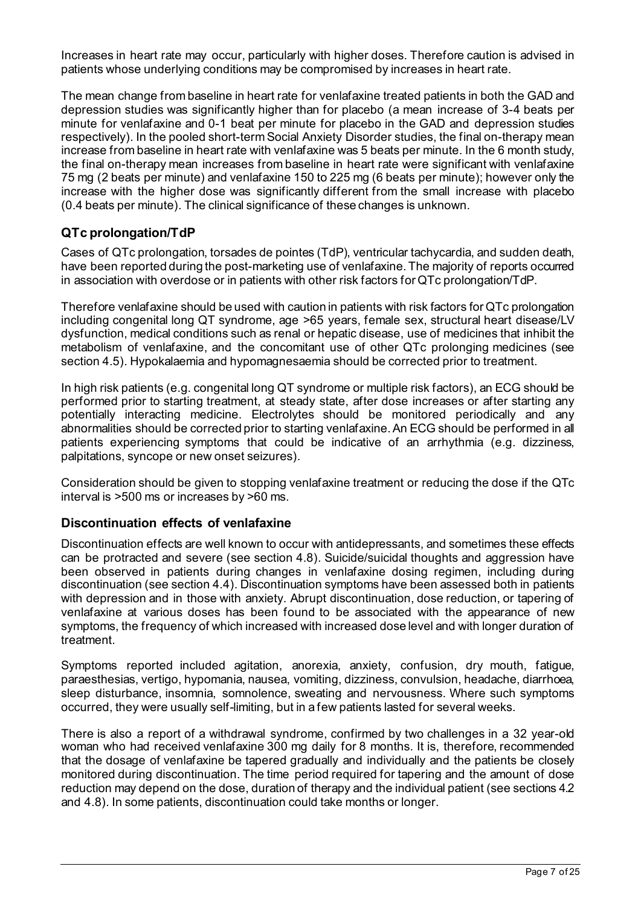Increases in heart rate may occur, particularly with higher doses. Therefore caution is advised in patients whose underlying conditions may be compromised by increases in heart rate.

The mean change from baseline in heart rate for venlafaxine treated patients in both the GAD and depression studies was significantly higher than for placebo (a mean increase of 3-4 beats per minute for venlafaxine and 0-1 beat per minute for placebo in the GAD and depression studies respectively). In the pooled short-term Social Anxiety Disorder studies, the final on-therapy mean increase from baseline in heart rate with venlafaxine was 5 beats per minute. In the 6 month study, the final on-therapy mean increases from baseline in heart rate were significant with venlafaxine 75 mg (2 beats per minute) and venlafaxine 150 to 225 mg (6 beats per minute); however only the increase with the higher dose was significantly different from the small increase with placebo (0.4 beats per minute). The clinical significance of these changes is unknown.

# **QTc prolongation/TdP**

Cases of QTc prolongation, torsades de pointes (TdP), ventricular tachycardia, and sudden death, have been reported during the post-marketing use of venlafaxine. The majority of reports occurred in association with overdose or in patients with other risk factors for QTc prolongation/TdP.

Therefore venlafaxine should be used with caution in patients with risk factors for QTc prolongation including congenital long QT syndrome, age >65 years, female sex, structural heart disease/LV dysfunction, medical conditions such as renal or hepatic disease, use of medicines that inhibit the metabolism of venlafaxine, and the concomitant use of other QTc prolonging medicines (see section 4.5). Hypokalaemia and hypomagnesaemia should be corrected prior to treatment.

In high risk patients (e.g. congenital long QT syndrome or multiple risk factors), an ECG should be performed prior to starting treatment, at steady state, after dose increases or after starting any potentially interacting medicine. Electrolytes should be monitored periodically and any abnormalities should be corrected prior to starting venlafaxine. An ECG should be performed in all patients experiencing symptoms that could be indicative of an arrhythmia (e.g. dizziness, palpitations, syncope or new onset seizures).

Consideration should be given to stopping venlafaxine treatment or reducing the dose if the QTc interval is >500 ms or increases by >60 ms.

# **Discontinuation effects of venlafaxine**

Discontinuation effects are well known to occur with antidepressants, and sometimes these effects can be protracted and severe (see section 4.8). Suicide/suicidal thoughts and aggression have been observed in patients during changes in venlafaxine dosing regimen, including during discontinuation (see section 4.4). Discontinuation symptoms have been assessed both in patients with depression and in those with anxiety. Abrupt discontinuation, dose reduction, or tapering of venlafaxine at various doses has been found to be associated with the appearance of new symptoms, the frequency of which increased with increased dose level and with longer duration of treatment.

Symptoms reported included agitation, anorexia, anxiety, confusion, dry mouth, fatigue, paraesthesias, vertigo, hypomania, nausea, vomiting, dizziness, convulsion, headache, diarrhoea, sleep disturbance, insomnia, somnolence, sweating and nervousness. Where such symptoms occurred, they were usually self-limiting, but in a few patients lasted for several weeks.

There is also a report of a withdrawal syndrome, confirmed by two challenges in a 32 year-old woman who had received venlafaxine 300 mg daily for 8 months. It is, therefore, recommended that the dosage of venlafaxine be tapered gradually and individually and the patients be closely monitored during discontinuation. The time period required for tapering and the amount of dose reduction may depend on the dose, duration of therapy and the individual patient (see sections 4.2 and 4.8). In some patients, discontinuation could take months or longer.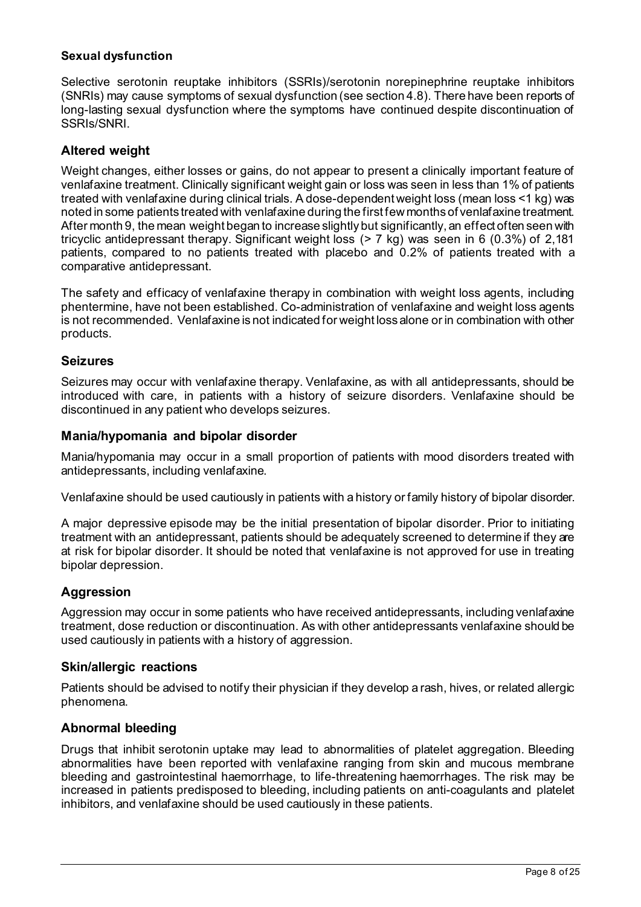#### **Sexual dysfunction**

Selective serotonin reuptake inhibitors (SSRIs)/serotonin norepinephrine reuptake inhibitors (SNRIs) may cause symptoms of sexual dysfunction (see section 4.8). There have been reports of long-lasting sexual dysfunction where the symptoms have continued despite discontinuation of SSRIs/SNRI.

# **Altered weight**

Weight changes, either losses or gains, do not appear to present a clinically important feature of venlafaxine treatment. Clinically significant weight gain or loss was seen in less than 1% of patients treated with venlafaxine during clinical trials. A dose-dependent weight loss (mean loss <1 kg) was noted in some patients treated with venlafaxine during the first few months of venlafaxine treatment. After month 9, the mean weight began to increase slightly but significantly, an effect often seen with tricyclic antidepressant therapy. Significant weight loss (> 7 kg) was seen in 6 (0.3%) of 2,181 patients, compared to no patients treated with placebo and 0.2% of patients treated with a comparative antidepressant.

The safety and efficacy of venlafaxine therapy in combination with weight loss agents, including phentermine, have not been established. Co-administration of venlafaxine and weight loss agents is not recommended. Venlafaxine is not indicated for weight loss alone or in combination with other products.

### **Seizures**

Seizures may occur with venlafaxine therapy. Venlafaxine, as with all antidepressants, should be introduced with care, in patients with a history of seizure disorders. Venlafaxine should be discontinued in any patient who develops seizures.

### **Mania/hypomania and bipolar disorder**

Mania/hypomania may occur in a small proportion of patients with mood disorders treated with antidepressants, including venlafaxine.

Venlafaxine should be used cautiously in patients with a history or family history of bipolar disorder.

A major depressive episode may be the initial presentation of bipolar disorder. Prior to initiating treatment with an antidepressant, patients should be adequately screened to determine if they are at risk for bipolar disorder. It should be noted that venlafaxine is not approved for use in treating bipolar depression.

# **Aggression**

Aggression may occur in some patients who have received antidepressants, including venlafaxine treatment, dose reduction or discontinuation. As with other antidepressants venlafaxine should be used cautiously in patients with a history of aggression.

# **Skin/allergic reactions**

Patients should be advised to notify their physician if they develop a rash, hives, or related allergic phenomena.

# **Abnormal bleeding**

Drugs that inhibit serotonin uptake may lead to abnormalities of platelet aggregation. Bleeding abnormalities have been reported with venlafaxine ranging from skin and mucous membrane bleeding and gastrointestinal haemorrhage, to life-threatening haemorrhages. The risk may be increased in patients predisposed to bleeding, including patients on anti-coagulants and platelet inhibitors, and venlafaxine should be used cautiously in these patients.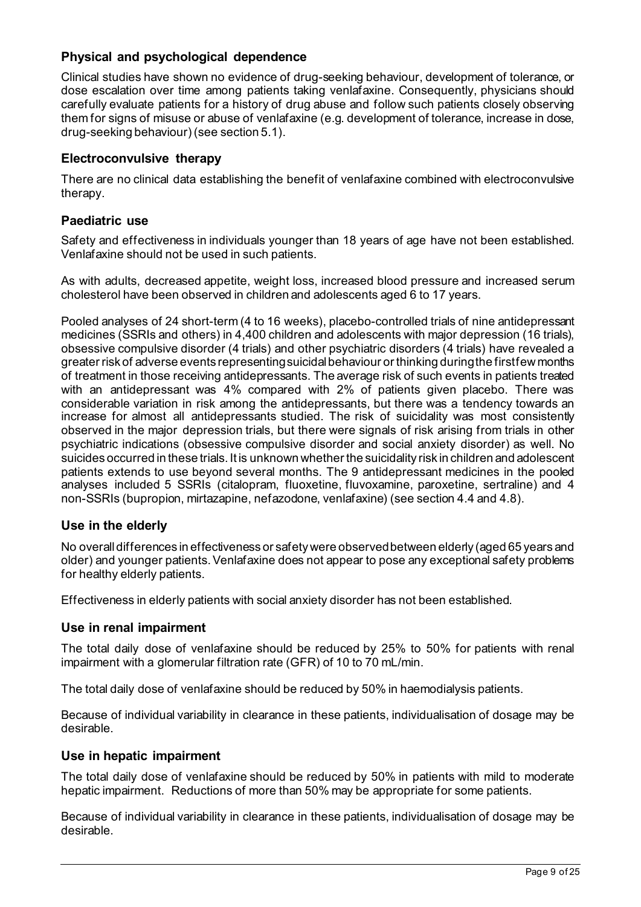# **Physical and psychological dependence**

Clinical studies have shown no evidence of drug-seeking behaviour, development of tolerance, or dose escalation over time among patients taking venlafaxine. Consequently, physicians should carefully evaluate patients for a history of drug abuse and follow such patients closely observing them for signs of misuse or abuse of venlafaxine (e.g. development of tolerance, increase in dose, drug-seeking behaviour) (see section 5.1).

# **Electroconvulsive therapy**

There are no clinical data establishing the benefit of venlafaxine combined with electroconvulsive therapy.

# **Paediatric use**

Safety and effectiveness in individuals younger than 18 years of age have not been established. Venlafaxine should not be used in such patients.

As with adults, decreased appetite, weight loss, increased blood pressure and increased serum cholesterol have been observed in children and adolescents aged 6 to 17 years.

Pooled analyses of 24 short-term (4 to 16 weeks), placebo-controlled trials of nine antidepressant medicines (SSRIs and others) in 4,400 children and adolescents with major depression (16 trials), obsessive compulsive disorder (4 trials) and other psychiatric disorders (4 trials) have revealed a greater risk of adverse events representing suicidal behaviour or thinking during the first few months of treatment in those receiving antidepressants. The average risk of such events in patients treated with an antidepressant was 4% compared with 2% of patients given placebo. There was considerable variation in risk among the antidepressants, but there was a tendency towards an increase for almost all antidepressants studied. The risk of suicidality was most consistently observed in the major depression trials, but there were signals of risk arising from trials in other psychiatric indications (obsessive compulsive disorder and social anxiety disorder) as well. No suicides occurred in these trials. It is unknown whether the suicidality risk in children and adolescent patients extends to use beyond several months. The 9 antidepressant medicines in the pooled analyses included 5 SSRIs (citalopram, fluoxetine, fluvoxamine, paroxetine, sertraline) and 4 non-SSRIs (bupropion, mirtazapine, nefazodone, venlafaxine) (see section 4.4 and 4.8).

# **Use in the elderly**

No overall differences in effectiveness or safety were observed between elderly (aged 65 years and older) and younger patients. Venlafaxine does not appear to pose any exceptional safety problems for healthy elderly patients.

Effectiveness in elderly patients with social anxiety disorder has not been established.

# **Use in renal impairment**

The total daily dose of venlafaxine should be reduced by 25% to 50% for patients with renal impairment with a glomerular filtration rate (GFR) of 10 to 70 mL/min.

The total daily dose of venlafaxine should be reduced by 50% in haemodialysis patients.

Because of individual variability in clearance in these patients, individualisation of dosage may be desirable.

#### **Use in hepatic impairment**

The total daily dose of venlafaxine should be reduced by 50% in patients with mild to moderate hepatic impairment. Reductions of more than 50% may be appropriate for some patients.

Because of individual variability in clearance in these patients, individualisation of dosage may be desirable.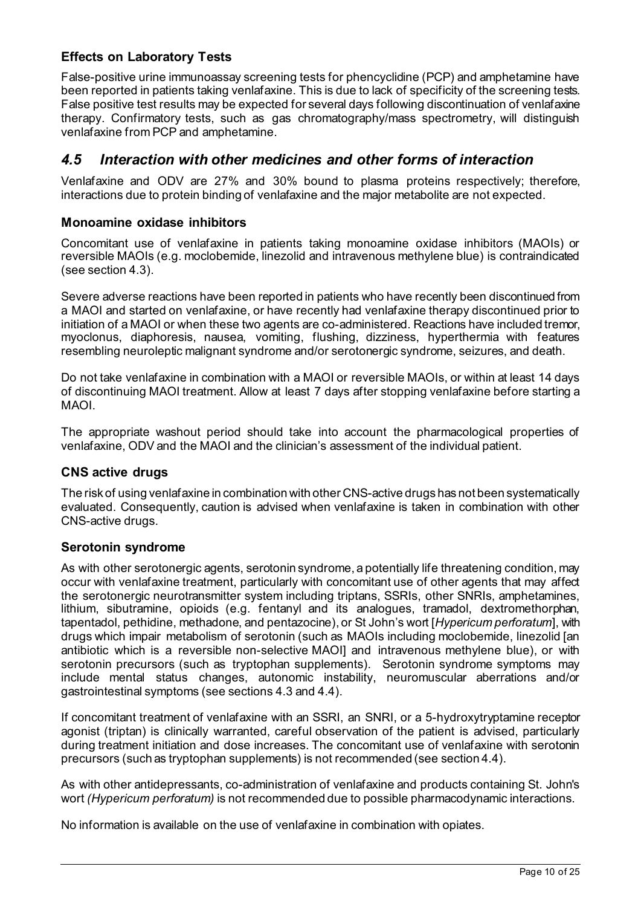# **Effects on Laboratory Tests**

False-positive urine immunoassay screening tests for phencyclidine (PCP) and amphetamine have been reported in patients taking venlafaxine. This is due to lack of specificity of the screening tests. False positive test results may be expected for several days following discontinuation of venlafaxine therapy. Confirmatory tests, such as gas chromatography/mass spectrometry, will distinguish venlafaxine from PCP and amphetamine.

# *4.5 Interaction with other medicines and other forms of interaction*

Venlafaxine and ODV are 27% and 30% bound to plasma proteins respectively; therefore, interactions due to protein binding of venlafaxine and the major metabolite are not expected.

# **Monoamine oxidase inhibitors**

Concomitant use of venlafaxine in patients taking monoamine oxidase inhibitors (MAOIs) or reversible MAOIs (e.g. moclobemide, linezolid and intravenous methylene blue) is contraindicated (see section 4.3).

Severe adverse reactions have been reported in patients who have recently been discontinued from a MAOI and started on venlafaxine, or have recently had venlafaxine therapy discontinued prior to initiation of a MAOI or when these two agents are co-administered. Reactions have included tremor, myoclonus, diaphoresis, nausea, vomiting, flushing, dizziness, hyperthermia with features resembling neuroleptic malignant syndrome and/or serotonergic syndrome, seizures, and death.

Do not take venlafaxine in combination with a MAOI or reversible MAOIs, or within at least 14 days of discontinuing MAOI treatment. Allow at least 7 days after stopping venlafaxine before starting a MAOI.

The appropriate washout period should take into account the pharmacological properties of venlafaxine, ODV and the MAOI and the clinician's assessment of the individual patient.

# **CNS active drugs**

The risk of using venlafaxine in combination with other CNS-active drugs has not been systematically evaluated. Consequently, caution is advised when venlafaxine is taken in combination with other CNS-active drugs.

# **Serotonin syndrome**

As with other serotonergic agents, serotonin syndrome, a potentially life threatening condition, may occur with venlafaxine treatment, particularly with concomitant use of other agents that may affect the serotonergic neurotransmitter system including triptans, SSRIs, other SNRIs, amphetamines, lithium, sibutramine, opioids (e.g. fentanyl and its analogues, tramadol, dextromethorphan, tapentadol, pethidine, methadone, and pentazocine), or St John's wort [*Hypericum perforatum*], with drugs which impair metabolism of serotonin (such as MAOIs including moclobemide, linezolid [an antibiotic which is a reversible non-selective MAOI] and intravenous methylene blue), or with serotonin precursors (such as tryptophan supplements). Serotonin syndrome symptoms may include mental status changes, autonomic instability, neuromuscular aberrations and/or gastrointestinal symptoms (see sections 4.3 and 4.4).

If concomitant treatment of venlafaxine with an SSRI, an SNRI, or a 5-hydroxytryptamine receptor agonist (triptan) is clinically warranted, careful observation of the patient is advised, particularly during treatment initiation and dose increases. The concomitant use of venlafaxine with serotonin precursors (such as tryptophan supplements) is not recommended (see section 4.4).

As with other antidepressants, co-administration of venlafaxine and products containing St. John's wort *(Hypericum perforatum)* is not recommended due to possible pharmacodynamic interactions.

No information is available on the use of venlafaxine in combination with opiates.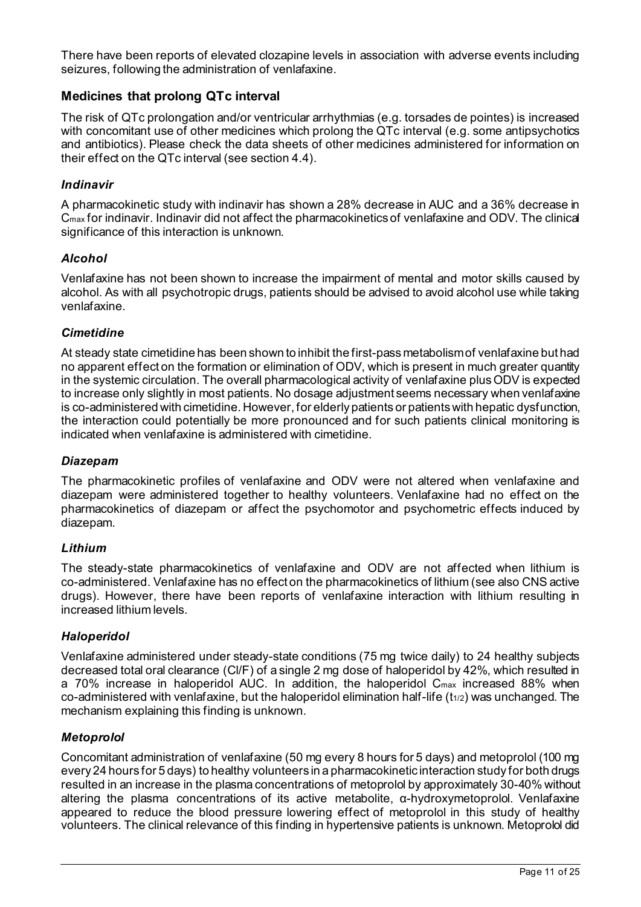There have been reports of elevated clozapine levels in association with adverse events including seizures, following the administration of venlafaxine.

# **Medicines that prolong QTc interval**

The risk of QTc prolongation and/or ventricular arrhythmias (e.g. torsades de pointes) is increased with concomitant use of other medicines which prolong the QTc interval (e.g. some antipsychotics and antibiotics). Please check the data sheets of other medicines administered for information on their effect on the QTc interval (see section 4.4).

### *Indinavir*

A pharmacokinetic study with indinavir has shown a 28% decrease in AUC and a 36% decrease in Cmax for indinavir. Indinavir did not affect the pharmacokinetics of venlafaxine and ODV. The clinical significance of this interaction is unknown.

### *Alcohol*

Venlafaxine has not been shown to increase the impairment of mental and motor skills caused by alcohol. As with all psychotropic drugs, patients should be advised to avoid alcohol use while taking venlafaxine.

### *Cimetidine*

At steady state cimetidine has been shown to inhibit the first-pass metabolism of venlafaxine but had no apparent effect on the formation or elimination of ODV, which is present in much greater quantity in the systemic circulation. The overall pharmacological activity of venlafaxine plus ODV is expected to increase only slightly in most patients. No dosage adjustment seems necessary when venlafaxine is co-administered with cimetidine. However, for elderly patients or patients with hepatic dysfunction, the interaction could potentially be more pronounced and for such patients clinical monitoring is indicated when venlafaxine is administered with cimetidine.

#### *Diazepam*

The pharmacokinetic profiles of venlafaxine and ODV were not altered when venlafaxine and diazepam were administered together to healthy volunteers. Venlafaxine had no effect on the pharmacokinetics of diazepam or affect the psychomotor and psychometric effects induced by diazepam.

#### *Lithium*

The steady-state pharmacokinetics of venlafaxine and ODV are not affected when lithium is co-administered. Venlafaxine has no effect on the pharmacokinetics of lithium (see also CNS active drugs). However, there have been reports of venlafaxine interaction with lithium resulting in increased lithium levels.

#### *Haloperidol*

Venlafaxine administered under steady-state conditions (75 mg twice daily) to 24 healthy subjects decreased total oral clearance (Cl/F) of a single 2 mg dose of haloperidol by 42%, which resulted in a 70% increase in haloperidol AUC. In addition, the haloperidol Cmax increased 88% when co-administered with venlafaxine, but the haloperidol elimination half-life (t<sub>1/2</sub>) was unchanged. The mechanism explaining this finding is unknown.

#### *Metoprolol*

Concomitant administration of venlafaxine (50 mg every 8 hours for 5 days) and metoprolol (100 mg every 24 hours for 5 days) to healthy volunteers in a pharmacokinetic interaction study for both drugs resulted in an increase in the plasma concentrations of metoprolol by approximately 30-40% without altering the plasma concentrations of its active metabolite, α-hydroxymetoprolol. Venlafaxine appeared to reduce the blood pressure lowering effect of metoprolol in this study of healthy volunteers. The clinical relevance of this finding in hypertensive patients is unknown. Metoprolol did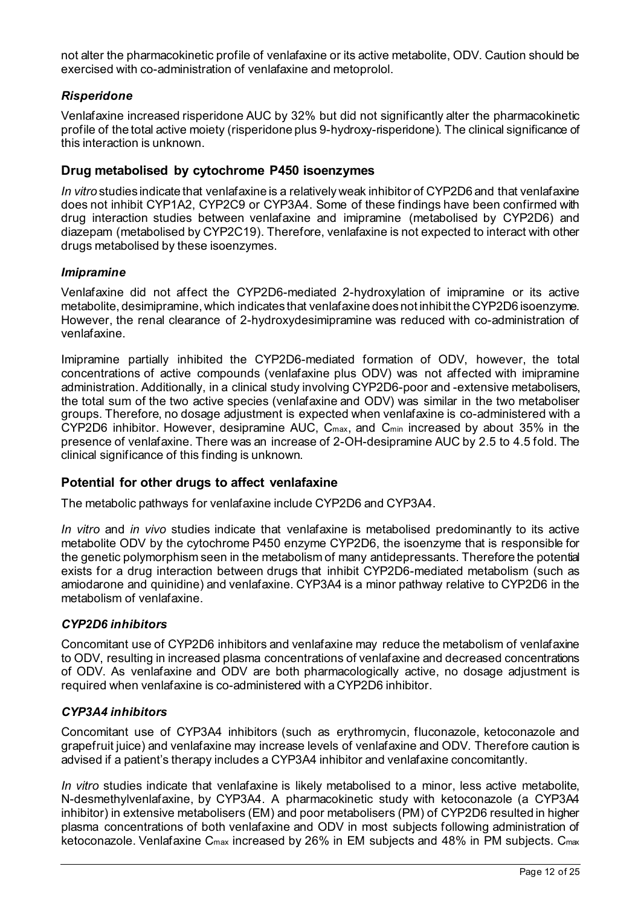not alter the pharmacokinetic profile of venlafaxine or its active metabolite, ODV. Caution should be exercised with co-administration of venlafaxine and metoprolol.

### *Risperidone*

Venlafaxine increased risperidone AUC by 32% but did not significantly alter the pharmacokinetic profile of the total active moiety (risperidone plus 9-hydroxy-risperidone). The clinical significance of this interaction is unknown.

### **Drug metabolised by cytochrome P450 isoenzymes**

*In vitro* studies indicate that venlafaxine is a relatively weak inhibitor of CYP2D6 and that venlafaxine does not inhibit CYP1A2, CYP2C9 or CYP3A4. Some of these findings have been confirmed with drug interaction studies between venlafaxine and imipramine (metabolised by CYP2D6) and diazepam (metabolised by CYP2C19). Therefore, venlafaxine is not expected to interact with other drugs metabolised by these isoenzymes.

#### *Imipramine*

Venlafaxine did not affect the CYP2D6-mediated 2-hydroxylation of imipramine or its active metabolite, desimipramine, which indicates that venlafaxine does not inhibit the CYP2D6 isoenzyme. However, the renal clearance of 2-hydroxydesimipramine was reduced with co-administration of venlafaxine.

Imipramine partially inhibited the CYP2D6-mediated formation of ODV, however, the total concentrations of active compounds (venlafaxine plus ODV) was not affected with imipramine administration. Additionally, in a clinical study involving CYP2D6-poor and -extensive metabolisers, the total sum of the two active species (venlafaxine and ODV) was similar in the two metaboliser groups. Therefore, no dosage adjustment is expected when venlafaxine is co-administered with a CYP2D6 inhibitor. However, desipramine AUC, Cmax, and Cmin increased by about 35% in the presence of venlafaxine. There was an increase of 2-OH-desipramine AUC by 2.5 to 4.5 fold. The clinical significance of this finding is unknown.

#### **Potential for other drugs to affect venlafaxine**

The metabolic pathways for venlafaxine include CYP2D6 and CYP3A4.

*In vitro* and *in vivo* studies indicate that venlafaxine is metabolised predominantly to its active metabolite ODV by the cytochrome P450 enzyme CYP2D6, the isoenzyme that is responsible for the genetic polymorphism seen in the metabolism of many antidepressants. Therefore the potential exists for a drug interaction between drugs that inhibit CYP2D6-mediated metabolism (such as amiodarone and quinidine) and venlafaxine. CYP3A4 is a minor pathway relative to CYP2D6 in the metabolism of venlafaxine.

#### *CYP2D6 inhibitors*

Concomitant use of CYP2D6 inhibitors and venlafaxine may reduce the metabolism of venlafaxine to ODV, resulting in increased plasma concentrations of venlafaxine and decreased concentrations of ODV. As venlafaxine and ODV are both pharmacologically active, no dosage adjustment is required when venlafaxine is co-administered with a CYP2D6 inhibitor.

#### *CYP3A4 inhibitors*

Concomitant use of CYP3A4 inhibitors (such as erythromycin, fluconazole, ketoconazole and grapefruit juice) and venlafaxine may increase levels of venlafaxine and ODV. Therefore caution is advised if a patient's therapy includes a CYP3A4 inhibitor and venlafaxine concomitantly.

*In vitro* studies indicate that venlafaxine is likely metabolised to a minor, less active metabolite, N-desmethylvenlafaxine, by CYP3A4. A pharmacokinetic study with ketoconazole (a CYP3A4 inhibitor) in extensive metabolisers (EM) and poor metabolisers (PM) of CYP2D6 resulted in higher plasma concentrations of both venlafaxine and ODV in most subjects following administration of ketoconazole. Venlafaxine C<sub>max</sub> increased by 26% in EM subjects and 48% in PM subjects. C<sub>max</sub>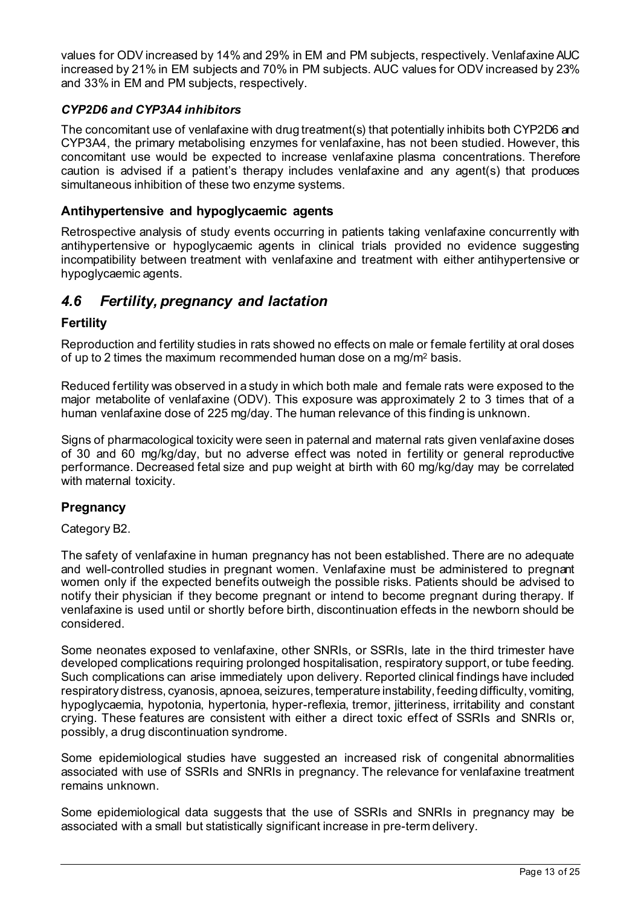values for ODV increased by 14% and 29% in EM and PM subjects, respectively. Venlafaxine AUC increased by 21% in EM subjects and 70% in PM subjects. AUC values for ODV increased by 23% and 33% in EM and PM subjects, respectively.

### *CYP2D6 and CYP3A4 inhibitors*

The concomitant use of venlafaxine with drug treatment(s) that potentially inhibits both CYP2D6 and CYP3A4, the primary metabolising enzymes for venlafaxine, has not been studied. However, this concomitant use would be expected to increase venlafaxine plasma concentrations. Therefore caution is advised if a patient's therapy includes venlafaxine and any agent(s) that produces simultaneous inhibition of these two enzyme systems.

### **Antihypertensive and hypoglycaemic agents**

Retrospective analysis of study events occurring in patients taking venlafaxine concurrently with antihypertensive or hypoglycaemic agents in clinical trials provided no evidence suggesting incompatibility between treatment with venlafaxine and treatment with either antihypertensive or hypoglycaemic agents.

# *4.6 Fertility, pregnancy and lactation*

### **Fertility**

Reproduction and fertility studies in rats showed no effects on male or female fertility at oral doses of up to 2 times the maximum recommended human dose on a mg/m2 basis.

Reduced fertility was observed in a study in which both male and female rats were exposed to the major metabolite of venlafaxine (ODV). This exposure was approximately 2 to 3 times that of a human venlafaxine dose of 225 mg/day. The human relevance of this finding is unknown.

Signs of pharmacological toxicity were seen in paternal and maternal rats given venlafaxine doses of 30 and 60 mg/kg/day, but no adverse effect was noted in fertility or general reproductive performance. Decreased fetal size and pup weight at birth with 60 mg/kg/day may be correlated with maternal toxicity.

#### **Pregnancy**

Category B2.

The safety of venlafaxine in human pregnancy has not been established. There are no adequate and well-controlled studies in pregnant women. Venlafaxine must be administered to pregnant women only if the expected benefits outweigh the possible risks. Patients should be advised to notify their physician if they become pregnant or intend to become pregnant during therapy. If venlafaxine is used until or shortly before birth, discontinuation effects in the newborn should be considered.

Some neonates exposed to venlafaxine, other SNRIs, or SSRIs, late in the third trimester have developed complications requiring prolonged hospitalisation, respiratory support, or tube feeding. Such complications can arise immediately upon delivery. Reported clinical findings have included respiratory distress, cyanosis, apnoea, seizures, temperature instability, feeding difficulty, vomiting, hypoglycaemia, hypotonia, hypertonia, hyper-reflexia, tremor, jitteriness, irritability and constant crying. These features are consistent with either a direct toxic effect of SSRIs and SNRIs or, possibly, a drug discontinuation syndrome.

Some epidemiological studies have suggested an increased risk of congenital abnormalities associated with use of SSRIs and SNRIs in pregnancy. The relevance for venlafaxine treatment remains unknown.

Some epidemiological data suggests that the use of SSRIs and SNRIs in pregnancy may be associated with a small but statistically significant increase in pre-term delivery.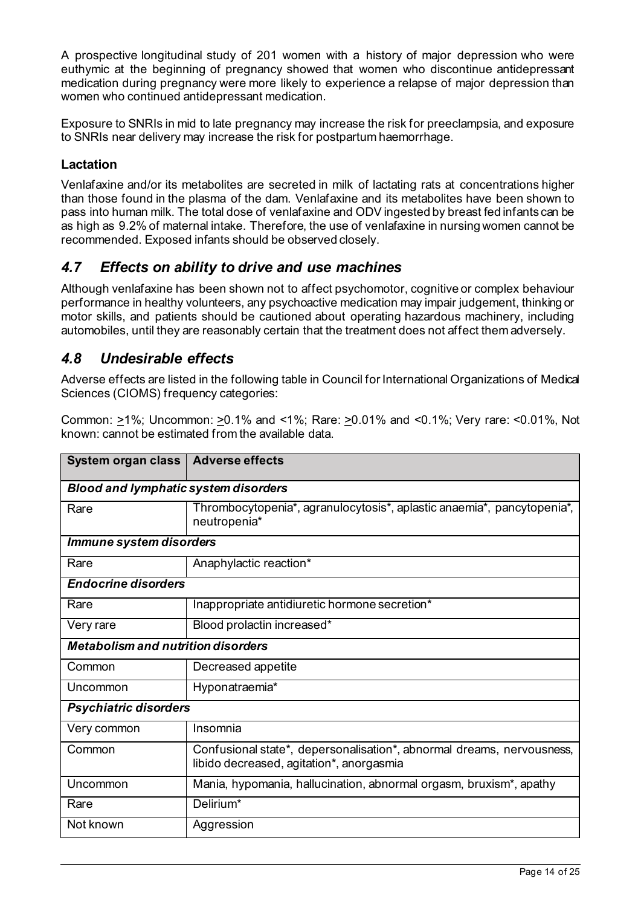A prospective longitudinal study of 201 women with a history of major depression who were euthymic at the beginning of pregnancy showed that women who discontinue antidepressant medication during pregnancy were more likely to experience a relapse of major depression than women who continued antidepressant medication.

Exposure to SNRIs in mid to late pregnancy may increase the risk for preeclampsia, and exposure to SNRIs near delivery may increase the risk for postpartum haemorrhage.

# **Lactation**

Venlafaxine and/or its metabolites are secreted in milk of lactating rats at concentrations higher than those found in the plasma of the dam. Venlafaxine and its metabolites have been shown to pass into human milk. The total dose of venlafaxine and ODV ingested by breast fed infants can be as high as 9.2% of maternal intake. Therefore, the use of venlafaxine in nursing women cannot be recommended. Exposed infants should be observed closely.

# *4.7 Effects on ability to drive and use machines*

Although venlafaxine has been shown not to affect psychomotor, cognitive or complex behaviour performance in healthy volunteers, any psychoactive medication may impair judgement, thinking or motor skills, and patients should be cautioned about operating hazardous machinery, including automobiles, until they are reasonably certain that the treatment does not affect them adversely.

# *4.8 Undesirable effects*

Adverse effects are listed in the following table in Council for International Organizations of Medical Sciences (CIOMS) frequency categories:

Common: >1%; Uncommon: >0.1% and <1%; Rare: >0.01% and <0.1%; Very rare: <0.01%, Not known: cannot be estimated from the available data.

| System organ class   Adverse effects        |                                                                                                                   |  |  |  |
|---------------------------------------------|-------------------------------------------------------------------------------------------------------------------|--|--|--|
| <b>Blood and lymphatic system disorders</b> |                                                                                                                   |  |  |  |
| Rare                                        | Thrombocytopenia*, agranulocytosis*, aplastic anaemia*, pancytopenia*,<br>neutropenia*                            |  |  |  |
| Immune system disorders                     |                                                                                                                   |  |  |  |
| Rare                                        | Anaphylactic reaction*                                                                                            |  |  |  |
| <b>Endocrine disorders</b>                  |                                                                                                                   |  |  |  |
| Rare                                        | Inappropriate antidiuretic hormone secretion*                                                                     |  |  |  |
| Very rare                                   | Blood prolactin increased*                                                                                        |  |  |  |
| <b>Metabolism and nutrition disorders</b>   |                                                                                                                   |  |  |  |
| Common                                      | Decreased appetite                                                                                                |  |  |  |
| Uncommon                                    | Hyponatraemia*                                                                                                    |  |  |  |
| <b>Psychiatric disorders</b>                |                                                                                                                   |  |  |  |
| Very common                                 | Insomnia                                                                                                          |  |  |  |
| Common                                      | Confusional state*, depersonalisation*, abnormal dreams, nervousness,<br>libido decreased, agitation*, anorgasmia |  |  |  |
| Uncommon                                    | Mania, hypomania, hallucination, abnormal orgasm, bruxism*, apathy                                                |  |  |  |
| Rare                                        | Delirium*                                                                                                         |  |  |  |
| Not known                                   | Aggression                                                                                                        |  |  |  |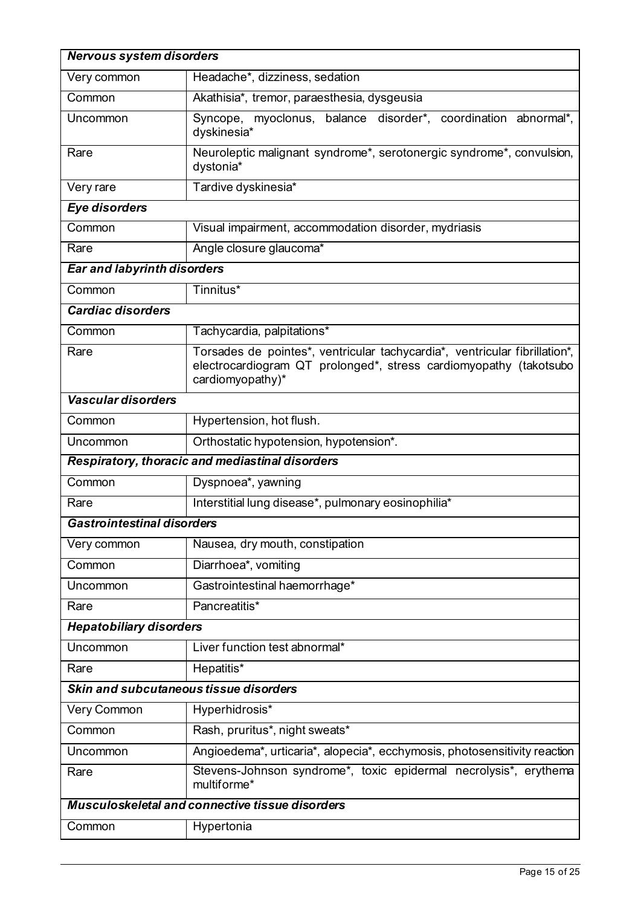| <b>Nervous system disorders</b>                 |                                                                                                                                                                     |  |  |  |
|-------------------------------------------------|---------------------------------------------------------------------------------------------------------------------------------------------------------------------|--|--|--|
| Very common                                     | Headache*, dizziness, sedation                                                                                                                                      |  |  |  |
| Common                                          | Akathisia*, tremor, paraesthesia, dysgeusia                                                                                                                         |  |  |  |
| Uncommon                                        | Syncope, myoclonus, balance disorder*, coordination abnormal*,<br>dyskinesia*                                                                                       |  |  |  |
| Rare                                            | Neuroleptic malignant syndrome*, serotonergic syndrome*, convulsion,<br>dystonia*                                                                                   |  |  |  |
| Very rare                                       | Tardive dyskinesia*                                                                                                                                                 |  |  |  |
| <b>Eye disorders</b>                            |                                                                                                                                                                     |  |  |  |
| Common                                          | Visual impairment, accommodation disorder, mydriasis                                                                                                                |  |  |  |
| Rare                                            | Angle closure glaucoma*                                                                                                                                             |  |  |  |
| <b>Ear and labyrinth disorders</b>              |                                                                                                                                                                     |  |  |  |
| Common                                          | Tinnitus*                                                                                                                                                           |  |  |  |
| <b>Cardiac disorders</b>                        |                                                                                                                                                                     |  |  |  |
| Common                                          | Tachycardia, palpitations*                                                                                                                                          |  |  |  |
| Rare                                            | Torsades de pointes*, ventricular tachycardia*, ventricular fibrillation*,<br>electrocardiogram QT prolonged*, stress cardiomyopathy (takotsubo<br>cardiomyopathy)* |  |  |  |
| Vascular disorders                              |                                                                                                                                                                     |  |  |  |
| Common                                          | Hypertension, hot flush.                                                                                                                                            |  |  |  |
| Uncommon                                        | Orthostatic hypotension, hypotension*.                                                                                                                              |  |  |  |
| Respiratory, thoracic and mediastinal disorders |                                                                                                                                                                     |  |  |  |
| Common                                          | Dyspnoea*, yawning                                                                                                                                                  |  |  |  |
| Rare                                            | Interstitial lung disease*, pulmonary eosinophilia*                                                                                                                 |  |  |  |
| <b>Gastrointestinal disorders</b>               |                                                                                                                                                                     |  |  |  |
| Very common                                     | Nausea, dry mouth, constipation                                                                                                                                     |  |  |  |
| Common                                          | Diarrhoea*, vomiting                                                                                                                                                |  |  |  |
| Uncommon                                        | Gastrointestinal haemorrhage*                                                                                                                                       |  |  |  |
| Rare                                            | Pancreatitis*                                                                                                                                                       |  |  |  |
| <b>Hepatobiliary disorders</b>                  |                                                                                                                                                                     |  |  |  |
| Uncommon                                        | Liver function test abnormal*                                                                                                                                       |  |  |  |
| Rare                                            | Hepatitis*                                                                                                                                                          |  |  |  |
| Skin and subcutaneous tissue disorders          |                                                                                                                                                                     |  |  |  |
| Very Common                                     | Hyperhidrosis*                                                                                                                                                      |  |  |  |
| Common                                          | Rash, pruritus*, night sweats*                                                                                                                                      |  |  |  |
| Uncommon                                        | Angioedema*, urticaria*, alopecia*, ecchymosis, photosensitivity reaction                                                                                           |  |  |  |
| Rare                                            | Stevens-Johnson syndrome*, toxic epidermal necrolysis*, erythema<br>multiforme*                                                                                     |  |  |  |
|                                                 | Musculoskeletal and connective tissue disorders                                                                                                                     |  |  |  |
| Common                                          | Hypertonia                                                                                                                                                          |  |  |  |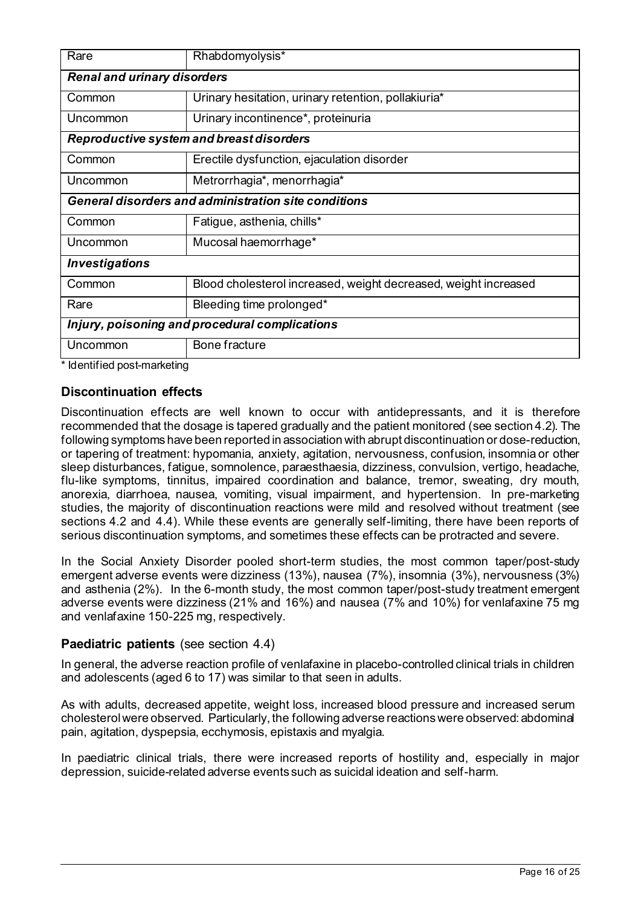| Rare                                                        | Rhabdomyolysis*                                                 |  |  |  |  |
|-------------------------------------------------------------|-----------------------------------------------------------------|--|--|--|--|
| <b>Renal and urinary disorders</b>                          |                                                                 |  |  |  |  |
| Common                                                      | Urinary hesitation, urinary retention, pollakiuria*             |  |  |  |  |
| Uncommon                                                    | Urinary incontinence*, proteinuria                              |  |  |  |  |
| Reproductive system and breast disorders                    |                                                                 |  |  |  |  |
| Common                                                      | Erectile dysfunction, ejaculation disorder                      |  |  |  |  |
| Uncommon                                                    | Metrorrhagia*, menorrhagia*                                     |  |  |  |  |
| <b>General disorders and administration site conditions</b> |                                                                 |  |  |  |  |
| Common                                                      | Fatigue, asthenia, chills*                                      |  |  |  |  |
| Uncommon                                                    | Mucosal haemorrhage*                                            |  |  |  |  |
| <b>Investigations</b>                                       |                                                                 |  |  |  |  |
| Common                                                      | Blood cholesterol increased, weight decreased, weight increased |  |  |  |  |
| Rare                                                        | Bleeding time prolonged*                                        |  |  |  |  |
| Injury, poisoning and procedural complications              |                                                                 |  |  |  |  |
| Uncommon                                                    | Bone fracture                                                   |  |  |  |  |

\* Identified post-marketing

# **Discontinuation effects**

Discontinuation effects are well known to occur with antidepressants, and it is therefore recommended that the dosage is tapered gradually and the patient monitored (see section 4.2). The following symptoms have been reported in association with abrupt discontinuation or dose-reduction, or tapering of treatment: hypomania, anxiety, agitation, nervousness, confusion, insomnia or other sleep disturbances, fatigue, somnolence, paraesthaesia, dizziness, convulsion, vertigo, headache, flu-like symptoms, tinnitus, impaired coordination and balance, tremor, sweating, dry mouth, anorexia, diarrhoea, nausea, vomiting, visual impairment, and hypertension. In pre-marketing studies, the majority of discontinuation reactions were mild and resolved without treatment (see sections 4.2 and 4.4). While these events are generally self-limiting, there have been reports of serious discontinuation symptoms, and sometimes these effects can be protracted and severe.

In the Social Anxiety Disorder pooled short-term studies, the most common taper/post-study emergent adverse events were dizziness (13%), nausea (7%), insomnia (3%), nervousness (3%) and asthenia (2%). In the 6-month study, the most common taper/post-study treatment emergent adverse events were dizziness (21% and 16%) and nausea (7% and 10%) for venlafaxine 75 mg and venlafaxine 150-225 mg, respectively.

#### **Paediatric patients** (see section 4.4)

In general, the adverse reaction profile of venlafaxine in placebo-controlled clinical trials in children and adolescents (aged 6 to 17) was similar to that seen in adults.

As with adults, decreased appetite, weight loss, increased blood pressure and increased serum cholesterol were observed. Particularly, the following adverse reactions were observed: abdominal pain, agitation, dyspepsia, ecchymosis, epistaxis and myalgia.

In paediatric clinical trials, there were increased reports of hostility and, especially in major depression, suicide-related adverse events such as suicidal ideation and self-harm.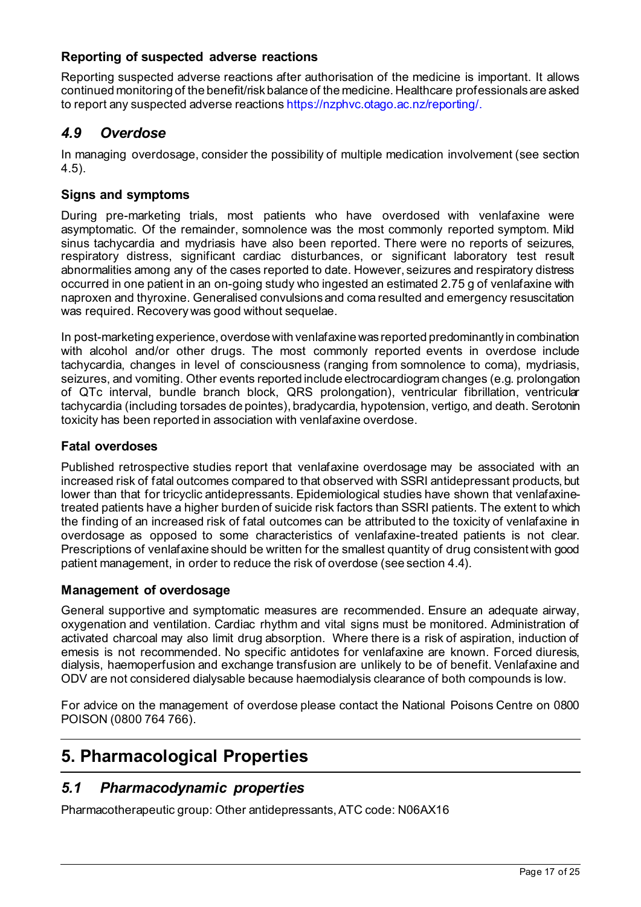# **Reporting of suspected adverse reactions**

Reporting suspected adverse reactions after authorisation of the medicine is important. It allows continued monitoring of the benefit/risk balance of the medicine. Healthcare professionals are asked to report any suspected adverse reactions https://nzphvc.otago.ac.nz/reporting/.

# *4.9 Overdose*

In managing overdosage, consider the possibility of multiple medication involvement (see section 4.5).

# **Signs and symptoms**

During pre-marketing trials, most patients who have overdosed with venlafaxine were asymptomatic. Of the remainder, somnolence was the most commonly reported symptom. Mild sinus tachycardia and mydriasis have also been reported. There were no reports of seizures, respiratory distress, significant cardiac disturbances, or significant laboratory test result abnormalities among any of the cases reported to date. However, seizures and respiratory distress occurred in one patient in an on-going study who ingested an estimated 2.75 g of venlafaxine with naproxen and thyroxine. Generalised convulsions and coma resulted and emergency resuscitation was required. Recovery was good without sequelae.

In post-marketing experience, overdose with venlafaxine was reported predominantly in combination with alcohol and/or other drugs. The most commonly reported events in overdose include tachycardia, changes in level of consciousness (ranging from somnolence to coma), mydriasis, seizures, and vomiting. Other events reported include electrocardiogram changes (e.g. prolongation of QTc interval, bundle branch block, QRS prolongation), ventricular fibrillation, ventricular tachycardia (including torsades de pointes), bradycardia, hypotension, vertigo, and death. Serotonin toxicity has been reported in association with venlafaxine overdose.

# **Fatal overdoses**

Published retrospective studies report that venlafaxine overdosage may be associated with an increased risk of fatal outcomes compared to that observed with SSRI antidepressant products, but lower than that for tricyclic antidepressants. Epidemiological studies have shown that venlafaxinetreated patients have a higher burden of suicide risk factors than SSRI patients. The extent to which the finding of an increased risk of fatal outcomes can be attributed to the toxicity of venlafaxine in overdosage as opposed to some characteristics of venlafaxine-treated patients is not clear. Prescriptions of venlafaxine should be written for the smallest quantity of drug consistent with good patient management, in order to reduce the risk of overdose (see section 4.4).

# **Management of overdosage**

General supportive and symptomatic measures are recommended. Ensure an adequate airway, oxygenation and ventilation. Cardiac rhythm and vital signs must be monitored. Administration of activated charcoal may also limit drug absorption. Where there is a risk of aspiration, induction of emesis is not recommended. No specific antidotes for venlafaxine are known. Forced diuresis, dialysis, haemoperfusion and exchange transfusion are unlikely to be of benefit. Venlafaxine and ODV are not considered dialysable because haemodialysis clearance of both compounds is low.

For advice on the management of overdose please contact the National Poisons Centre on 0800 POISON (0800 764 766).

# **5. Pharmacological Properties**

# *5.1 Pharmacodynamic properties*

Pharmacotherapeutic group: Other antidepressants, ATC code: N06AX16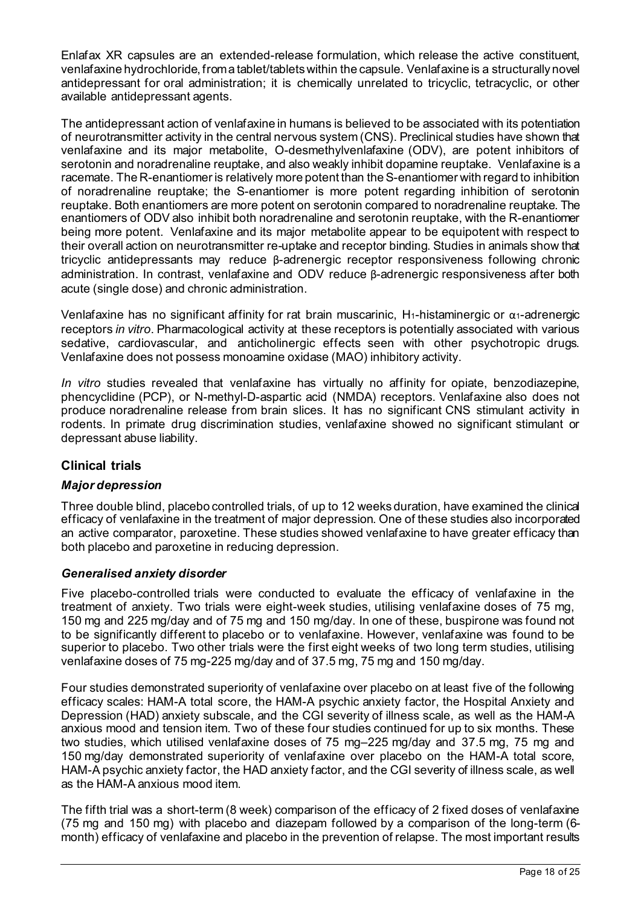Enlafax XR capsules are an extended-release formulation, which release the active constituent, venlafaxine hydrochloride, from a tablet/tabletswithin the capsule. Venlafaxine is a structurally novel antidepressant for oral administration; it is chemically unrelated to tricyclic, tetracyclic, or other available antidepressant agents.

The antidepressant action of venlafaxine in humans is believed to be associated with its potentiation of neurotransmitter activity in the central nervous system (CNS). Preclinical studies have shown that venlafaxine and its major metabolite, O-desmethylvenlafaxine (ODV), are potent inhibitors of serotonin and noradrenaline reuptake, and also weakly inhibit dopamine reuptake. Venlafaxine is a racemate. The R-enantiomer is relatively more potent than the S-enantiomer with regard to inhibition of noradrenaline reuptake; the S-enantiomer is more potent regarding inhibition of serotonin reuptake. Both enantiomers are more potent on serotonin compared to noradrenaline reuptake. The enantiomers of ODV also inhibit both noradrenaline and serotonin reuptake, with the R-enantiomer being more potent. Venlafaxine and its major metabolite appear to be equipotent with respect to their overall action on neurotransmitter re-uptake and receptor binding. Studies in animals show that tricyclic antidepressants may reduce β-adrenergic receptor responsiveness following chronic administration. In contrast, venlafaxine and ODV reduce β-adrenergic responsiveness after both acute (single dose) and chronic administration.

Venlafaxine has no significant affinity for rat brain muscarinic, H<sub>1</sub>-histaminergic or  $\alpha_1$ -adrenergic receptors *in vitro*. Pharmacological activity at these receptors is potentially associated with various sedative, cardiovascular, and anticholinergic effects seen with other psychotropic drugs. Venlafaxine does not possess monoamine oxidase (MAO) inhibitory activity.

*In vitro* studies revealed that venlafaxine has virtually no affinity for opiate, benzodiazepine, phencyclidine (PCP), or N-methyl-D-aspartic acid (NMDA) receptors. Venlafaxine also does not produce noradrenaline release from brain slices. It has no significant CNS stimulant activity in rodents. In primate drug discrimination studies, venlafaxine showed no significant stimulant or depressant abuse liability.

# **Clinical trials**

# *Major depression*

Three double blind, placebo controlled trials, of up to 12 weeks duration, have examined the clinical efficacy of venlafaxine in the treatment of major depression. One of these studies also incorporated an active comparator, paroxetine. These studies showed venlafaxine to have greater efficacy than both placebo and paroxetine in reducing depression.

#### *Generalised anxiety disorder*

Five placebo-controlled trials were conducted to evaluate the efficacy of venlafaxine in the treatment of anxiety. Two trials were eight-week studies, utilising venlafaxine doses of 75 mg, 150 mg and 225 mg/day and of 75 mg and 150 mg/day. In one of these, buspirone was found not to be significantly different to placebo or to venlafaxine. However, venlafaxine was found to be superior to placebo. Two other trials were the first eight weeks of two long term studies, utilising venlafaxine doses of 75 mg-225 mg/day and of 37.5 mg, 75 mg and 150 mg/day.

Four studies demonstrated superiority of venlafaxine over placebo on at least five of the following efficacy scales: HAM-A total score, the HAM-A psychic anxiety factor, the Hospital Anxiety and Depression (HAD) anxiety subscale, and the CGI severity of illness scale, as well as the HAM-A anxious mood and tension item. Two of these four studies continued for up to six months. These two studies, which utilised venlafaxine doses of 75 mg–225 mg/day and 37.5 mg, 75 mg and 150 mg/day demonstrated superiority of venlafaxine over placebo on the HAM-A total score, HAM-A psychic anxiety factor, the HAD anxiety factor, and the CGI severity of illness scale, as well as the HAM-A anxious mood item.

The fifth trial was a short-term (8 week) comparison of the efficacy of 2 fixed doses of venlafaxine (75 mg and 150 mg) with placebo and diazepam followed by a comparison of the long-term (6 month) efficacy of venlafaxine and placebo in the prevention of relapse. The most important results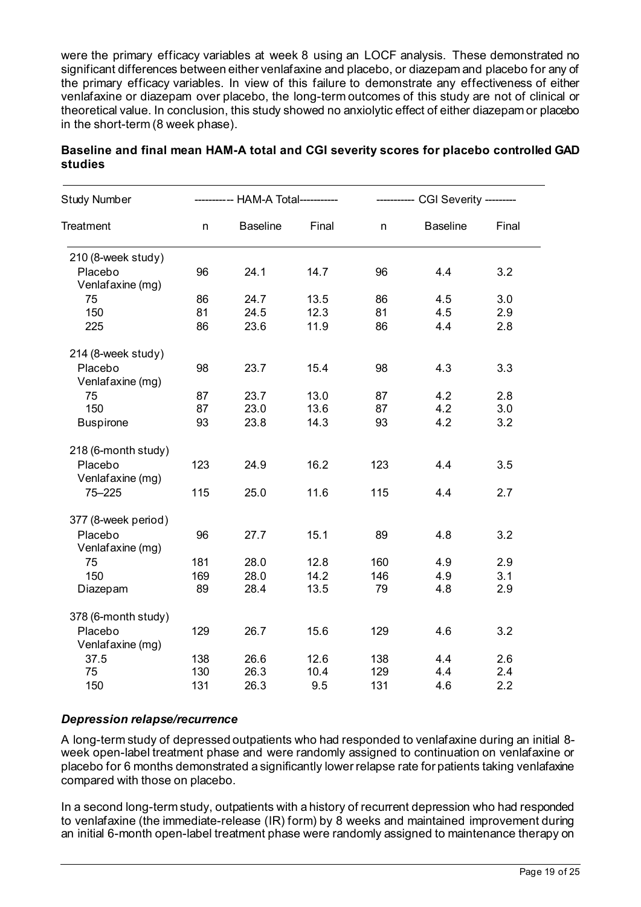were the primary efficacy variables at week 8 using an LOCF analysis. These demonstrated no significant differences between either venlafaxine and placebo, or diazepam and placebo for any of the primary efficacy variables. In view of this failure to demonstrate any effectiveness of either venlafaxine or diazepam over placebo, the long-term outcomes of this study are not of clinical or theoretical value. In conclusion, this study showed no anxiolytic effect of either diazepam or placebo in the short-term (8 week phase).

| <b>Study Number</b>         | ---------- HAM-A Total----------- |                 |       | ----------- CGI Severity --------- |                 |       |
|-----------------------------|-----------------------------------|-----------------|-------|------------------------------------|-----------------|-------|
| Treatment                   | n                                 | <b>Baseline</b> | Final | n                                  | <b>Baseline</b> | Final |
| 210 (8-week study)          |                                   |                 |       |                                    |                 |       |
| Placebo<br>Venlafaxine (mg) | 96                                | 24.1            | 14.7  | 96                                 | 4.4             | 3.2   |
| 75                          | 86                                | 24.7            | 13.5  | 86                                 | 4.5             | 3.0   |
| 150                         | 81                                | 24.5            | 12.3  | 81                                 | 4.5             | 2.9   |
| 225                         | 86                                | 23.6            | 11.9  | 86                                 | 4.4             | 2.8   |
| 214 (8-week study)          |                                   |                 |       |                                    |                 |       |
| Placebo<br>Venlafaxine (mg) | 98                                | 23.7            | 15.4  | 98                                 | 4.3             | 3.3   |
| 75                          | 87                                | 23.7            | 13.0  | 87                                 | 4.2             | 2.8   |
| 150                         | 87                                | 23.0            | 13.6  | 87                                 | 4.2             | 3.0   |
| <b>Buspirone</b>            | 93                                | 23.8            | 14.3  | 93                                 | 4.2             | 3.2   |
|                             |                                   |                 |       |                                    |                 |       |
| 218 (6-month study)         |                                   |                 |       |                                    |                 |       |
| Placebo                     | 123                               | 24.9            | 16.2  | 123                                | 4.4             | 3.5   |
| Venlafaxine (mg)            |                                   |                 |       |                                    |                 |       |
| $75 - 225$                  | 115                               | 25.0            | 11.6  | 115                                | 4.4             | 2.7   |
| 377 (8-week period)         |                                   |                 |       |                                    |                 |       |
| Placebo                     | 96                                | 27.7            | 15.1  | 89                                 | 4.8             | 3.2   |
| Venlafaxine (mg)            |                                   |                 |       |                                    |                 |       |
| 75                          | 181                               | 28.0            | 12.8  | 160                                | 4.9             | 2.9   |
| 150                         | 169                               | 28.0            | 14.2  | 146                                | 4.9             | 3.1   |
| Diazepam                    | 89                                | 28.4            | 13.5  | 79                                 | 4.8             | 2.9   |
| 378 (6-month study)         |                                   |                 |       |                                    |                 |       |
| Placebo                     | 129                               | 26.7            | 15.6  | 129                                | 4.6             | 3.2   |
| Venlafaxine (mg)            |                                   |                 |       |                                    |                 |       |
| 37.5                        | 138                               | 26.6            | 12.6  | 138                                | 4.4             | 2.6   |
| 75                          | 130                               | 26.3            | 10.4  | 129                                | 4.4             | 2.4   |
| 150                         | 131                               | 26.3            | 9.5   | 131                                | 4.6             | 2.2   |
|                             |                                   |                 |       |                                    |                 |       |

### **Baseline and final mean HAM-A total and CGI severity scores for placebo controlled GAD studies**

# *Depression relapse/recurrence*

A long-term study of depressed outpatients who had responded to venlafaxine during an initial 8 week open-label treatment phase and were randomly assigned to continuation on venlafaxine or placebo for 6 months demonstrated a significantly lower relapse rate for patients taking venlafaxine compared with those on placebo.

In a second long-term study, outpatients with a history of recurrent depression who had responded to venlafaxine (the immediate-release (IR) form) by 8 weeks and maintained improvement during an initial 6-month open-label treatment phase were randomly assigned to maintenance therapy on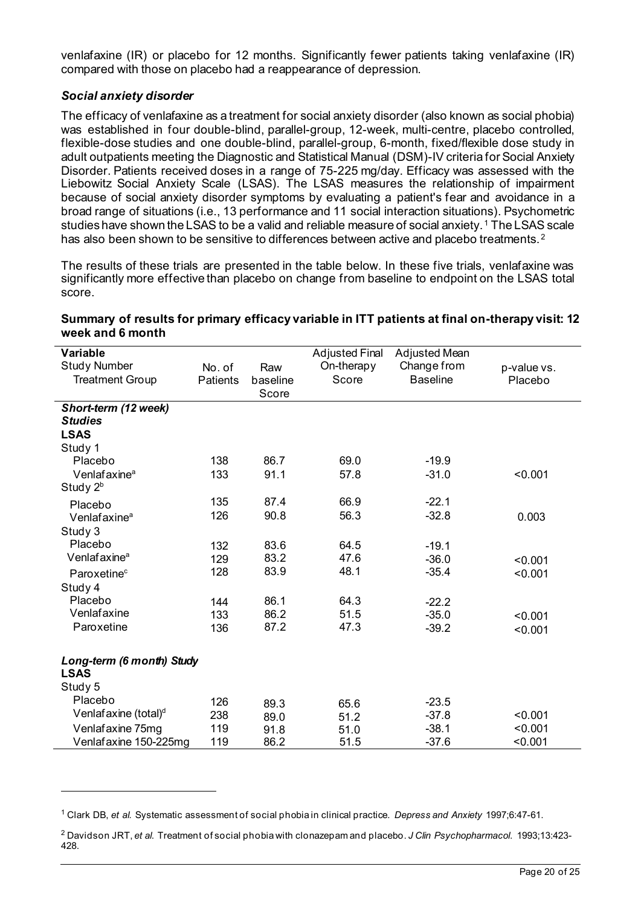venlafaxine (IR) or placebo for 12 months. Significantly fewer patients taking venlafaxine (IR) compared with those on placebo had a reappearance of depression.

#### *Social anxiety disorder*

The efficacy of venlafaxine as a treatment for social anxiety disorder (also known as social phobia) was established in four double-blind, parallel-group, 12-week, multi-centre, placebo controlled, flexible-dose studies and one double-blind, parallel-group, 6-month, fixed/flexible dose study in adult outpatients meeting the Diagnostic and Statistical Manual (DSM)-IV criteria for Social Anxiety Disorder. Patients received doses in a range of 75-225 mg/day. Efficacy was assessed with the Liebowitz Social Anxiety Scale (LSAS). The LSAS measures the relationship of impairment because of social anxiety disorder symptoms by evaluating a patient's fear and avoidance in a broad range of situations (i.e., 13 performance and 11 social interaction situations). Psychometric studies have shown the LSAS to be a valid and reliable measure of social anxiety. [1](#page-19-0) The LSAS scale has also been shown to be sensitive to differences between active and placebo treatments.<sup>[2](#page-19-1)</sup>

The results of these trials are presented in the table below. In these five trials, venlafaxine was significantly more effective than placebo on change from baseline to endpoint on the LSAS total score.

| Variable                         |                 |          | <b>Adjusted Final</b> | Adjusted Mean   |             |
|----------------------------------|-----------------|----------|-----------------------|-----------------|-------------|
| <b>Study Number</b>              | No. of          | Raw      | On-therapy            | Change from     | p-value vs. |
| <b>Treatment Group</b>           | <b>Patients</b> | baseline | Score                 | <b>Baseline</b> | Placebo     |
|                                  |                 | Score    |                       |                 |             |
| Short-term (12 week)             |                 |          |                       |                 |             |
| <b>Studies</b>                   |                 |          |                       |                 |             |
| <b>LSAS</b>                      |                 |          |                       |                 |             |
| Study 1                          |                 |          |                       |                 |             |
| Placebo                          | 138             | 86.7     | 69.0                  | $-19.9$         |             |
| Venlafaxine <sup>a</sup>         | 133             | 91.1     | 57.8                  | $-31.0$         | < 0.001     |
| Study 2 <sup>b</sup>             |                 |          |                       |                 |             |
| Placebo                          | 135             | 87.4     | 66.9                  | $-22.1$         |             |
| Venlafaxine <sup>a</sup>         | 126             | 90.8     | 56.3                  | $-32.8$         | 0.003       |
| Study 3                          |                 |          |                       |                 |             |
| Placebo                          | 132             | 83.6     | 64.5                  | $-19.1$         |             |
| Venlafaxine <sup>a</sup>         | 129             | 83.2     | 47.6                  | $-36.0$         | < 0.001     |
| Paroxetine <sup>c</sup>          | 128             | 83.9     | 48.1                  | $-35.4$         | < 0.001     |
| Study 4                          |                 |          |                       |                 |             |
| Placebo                          | 144             | 86.1     | 64.3                  | $-22.2$         |             |
| Venlafaxine                      | 133             | 86.2     | 51.5                  | $-35.0$         | < 0.001     |
| Paroxetine                       | 136             | 87.2     | 47.3                  | $-39.2$         | < 0.001     |
|                                  |                 |          |                       |                 |             |
| Long-term (6 month) Study        |                 |          |                       |                 |             |
| <b>LSAS</b>                      |                 |          |                       |                 |             |
| Study 5                          |                 |          |                       |                 |             |
| Placebo                          | 126             | 89.3     | 65.6                  | $-23.5$         |             |
| Venlafaxine (total) <sup>d</sup> | 238             | 89.0     | 51.2                  | $-37.8$         | < 0.001     |
| Venlafaxine 75mg                 | 119             | 91.8     | 51.0                  | $-38.1$         | < 0.001     |
| Venlafaxine 150-225mg            | 119             | 86.2     | 51.5                  | $-37.6$         | < 0.001     |

### **Summary of results for primary efficacy variable in ITT patients at final on-therapy visit: 12 week and 6 month**

<span id="page-19-0"></span><sup>1</sup> Clark DB, *et al.* Systematic assessment of social phobia in clinical practice*. Depress and Anxiety* 1997;6:47-61.

<span id="page-19-1"></span><sup>2</sup> Davidson JRT, *et al*. Treatment of social phobia with clonazepam and placebo. *J Clin Psychopharmacol*. 1993;13:423- 428.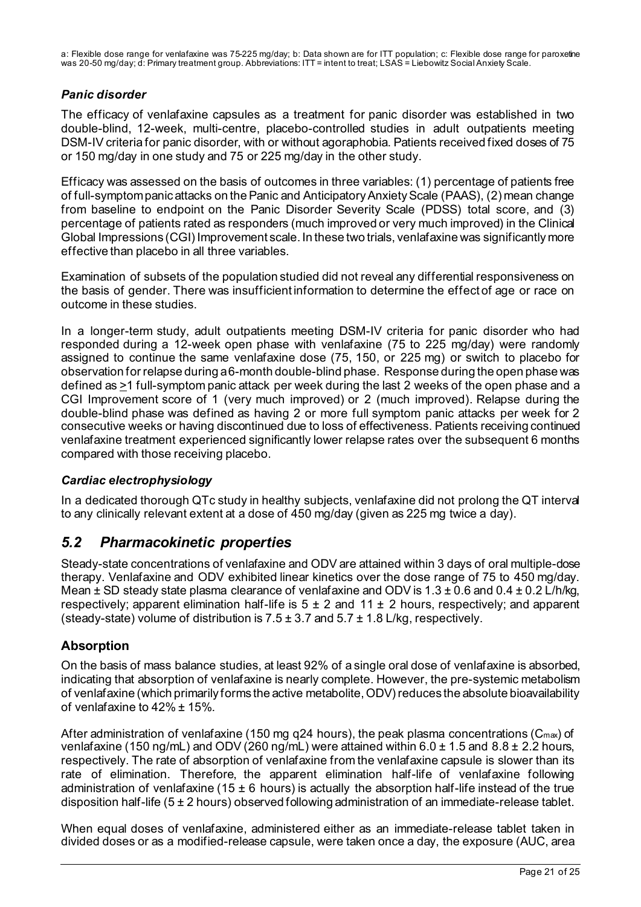# *Panic disorder*

The efficacy of venlafaxine capsules as a treatment for panic disorder was established in two double-blind, 12-week, multi-centre, placebo-controlled studies in adult outpatients meeting DSM-IV criteria for panic disorder, with or without agoraphobia. Patients received fixed doses of 75 or 150 mg/day in one study and 75 or 225 mg/day in the other study.

Efficacy was assessed on the basis of outcomes in three variables: (1) percentage of patients free of full-symptom panic attacks on the Panic and Anticipatory Anxiety Scale (PAAS), (2) mean change from baseline to endpoint on the Panic Disorder Severity Scale (PDSS) total score, and (3) percentage of patients rated as responders (much improved or very much improved) in the Clinical Global Impressions (CGI) Improvement scale. In these two trials, venlafaxine was significantly more effective than placebo in all three variables.

Examination of subsets of the population studied did not reveal any differential responsiveness on the basis of gender. There was insufficient information to determine the effect of age or race on outcome in these studies.

In a longer-term study, adult outpatients meeting DSM-IV criteria for panic disorder who had responded during a 12-week open phase with venlafaxine (75 to 225 mg/day) were randomly assigned to continue the same venlafaxine dose (75, 150, or 225 mg) or switch to placebo for observation for relapse during a 6-month double-blind phase. Response during the open phase was defined as  $\geq$ 1 full-symptom panic attack per week during the last 2 weeks of the open phase and a CGI Improvement score of 1 (very much improved) or 2 (much improved). Relapse during the double-blind phase was defined as having 2 or more full symptom panic attacks per week for 2 consecutive weeks or having discontinued due to loss of effectiveness. Patients receiving continued venlafaxine treatment experienced significantly lower relapse rates over the subsequent 6 months compared with those receiving placebo.

# *Cardiac electrophysiology*

In a dedicated thorough QTc study in healthy subjects, venlafaxine did not prolong the QT interval to any clinically relevant extent at a dose of 450 mg/day (given as 225 mg twice a day).

# *5.2 Pharmacokinetic properties*

Steady-state concentrations of venlafaxine and ODV are attained within 3 days of oral multiple-dose therapy. Venlafaxine and ODV exhibited linear kinetics over the dose range of 75 to 450 mg/day. Mean  $\pm$  SD steady state plasma clearance of venlafaxine and ODV is 1.3  $\pm$  0.6 and 0.4  $\pm$  0.2 L/h/kg, respectively; apparent elimination half-life is  $5 \pm 2$  and  $11 \pm 2$  hours, respectively; and apparent (steady-state) volume of distribution is  $7.5 \pm 3.7$  and  $5.7 \pm 1.8$  L/kg, respectively.

# **Absorption**

On the basis of mass balance studies, at least 92% of a single oral dose of venlafaxine is absorbed, indicating that absorption of venlafaxine is nearly complete. However, the pre-systemic metabolism of venlafaxine (which primarily forms the active metabolite, ODV) reduces the absolute bioavailability of venlafaxine to 42% ± 15%.

After administration of venlafaxine (150 mg q24 hours), the peak plasma concentrations ( $C_{\text{max}}$ ) of venlafaxine (150 ng/mL) and ODV (260 ng/mL) were attained within 6.0 ± 1.5 and 8.8 ± 2.2 hours, respectively. The rate of absorption of venlafaxine from the venlafaxine capsule is slower than its rate of elimination. Therefore, the apparent elimination half-life of venlafaxine following administration of venlafaxine (15  $\pm$  6 hours) is actually the absorption half-life instead of the true disposition half-life (5 ± 2 hours) observed following administration of an immediate-release tablet.

When equal doses of venlafaxine, administered either as an immediate-release tablet taken in divided doses or as a modified-release capsule, were taken once a day, the exposure (AUC, area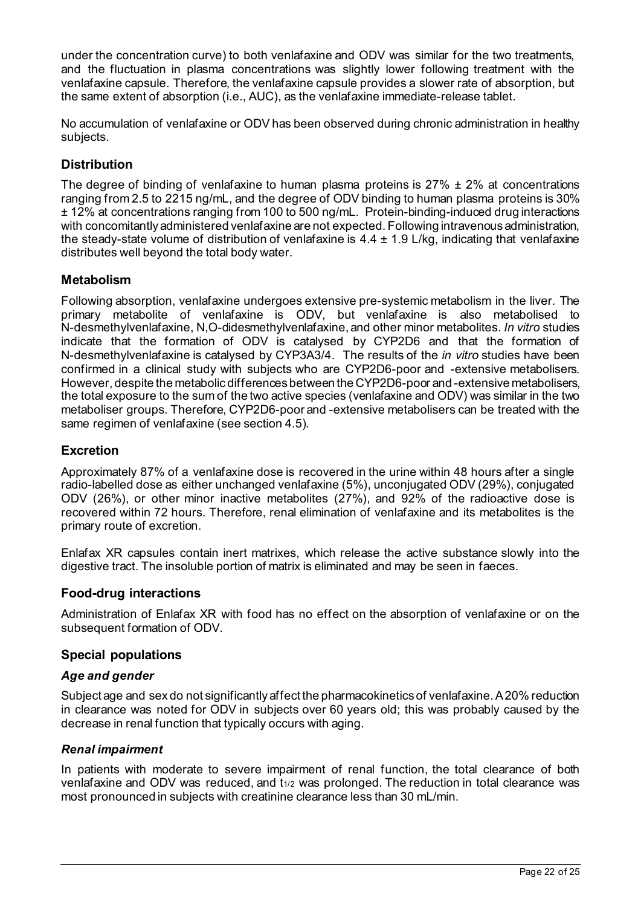under the concentration curve) to both venlafaxine and ODV was similar for the two treatments, and the fluctuation in plasma concentrations was slightly lower following treatment with the venlafaxine capsule. Therefore, the venlafaxine capsule provides a slower rate of absorption, but the same extent of absorption (i.e., AUC), as the venlafaxine immediate-release tablet.

No accumulation of venlafaxine or ODV has been observed during chronic administration in healthy subjects.

# **Distribution**

The degree of binding of venlafaxine to human plasma proteins is  $27\% \pm 2\%$  at concentrations ranging from 2.5 to 2215 ng/mL, and the degree of ODV binding to human plasma proteins is 30% ± 12% at concentrations ranging from 100 to 500 ng/mL. Protein-binding-induced drug interactions with concomitantly administered venlafaxine are not expected. Following intravenous administration, the steady-state volume of distribution of venlafaxine is  $4.4 \pm 1.9$  L/kg, indicating that venlafaxine distributes well beyond the total body water.

# **Metabolism**

Following absorption, venlafaxine undergoes extensive pre-systemic metabolism in the liver. The primary metabolite of venlafaxine is ODV, but venlafaxine is also metabolised to N-desmethylvenlafaxine, N,O-didesmethylvenlafaxine, and other minor metabolites. *In vitro* studies indicate that the formation of ODV is catalysed by CYP2D6 and that the formation of N-desmethylvenlafaxine is catalysed by CYP3A3/4. The results of the *in vitro* studies have been confirmed in a clinical study with subjects who are CYP2D6-poor and -extensive metabolisers. However, despite the metabolic differences between the CYP2D6-poor and -extensive metabolisers, the total exposure to the sum of the two active species (venlafaxine and ODV) was similar in the two metaboliser groups. Therefore, CYP2D6-poor and -extensive metabolisers can be treated with the same regimen of venlafaxine (see section 4.5).

### **Excretion**

Approximately 87% of a venlafaxine dose is recovered in the urine within 48 hours after a single radio-labelled dose as either unchanged venlafaxine (5%), unconjugated ODV (29%), conjugated ODV (26%), or other minor inactive metabolites (27%), and 92% of the radioactive dose is recovered within 72 hours. Therefore, renal elimination of venlafaxine and its metabolites is the primary route of excretion.

Enlafax XR capsules contain inert matrixes, which release the active substance slowly into the digestive tract. The insoluble portion of matrix is eliminated and may be seen in faeces.

#### **Food-drug interactions**

Administration of Enlafax XR with food has no effect on the absorption of venlafaxine or on the subsequent formation of ODV.

#### **Special populations**

#### *Age and gender*

Subject age and sex do not significantly affect the pharmacokinetics of venlafaxine. A 20% reduction in clearance was noted for ODV in subjects over 60 years old; this was probably caused by the decrease in renal function that typically occurs with aging.

#### *Renal impairment*

In patients with moderate to severe impairment of renal function, the total clearance of both venlafaxine and ODV was reduced, and t1/2 was prolonged. The reduction in total clearance was most pronounced in subjects with creatinine clearance less than 30 mL/min.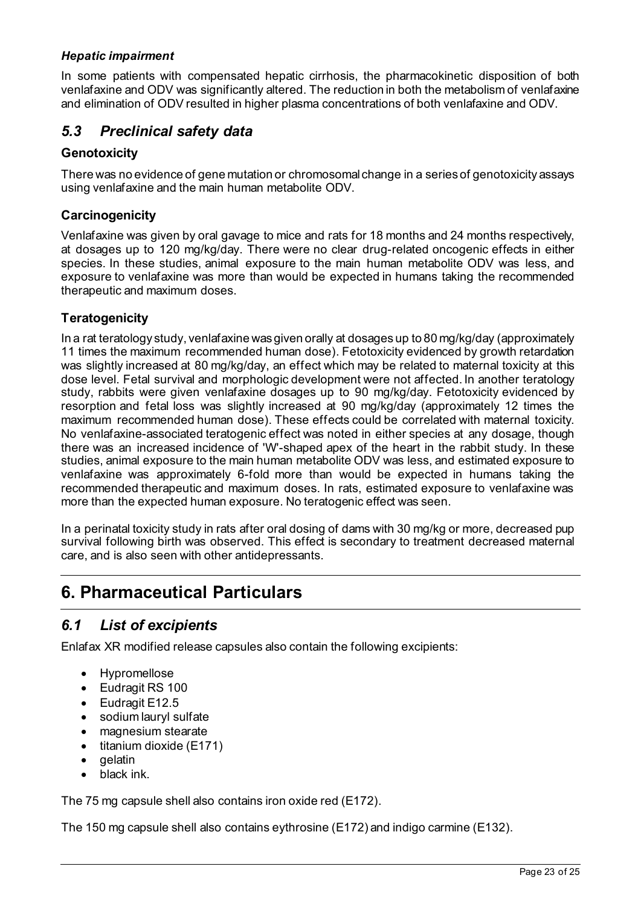### *Hepatic impairment*

In some patients with compensated hepatic cirrhosis, the pharmacokinetic disposition of both venlafaxine and ODV was significantly altered. The reduction in both the metabolism of venlafaxine and elimination of ODV resulted in higher plasma concentrations of both venlafaxine and ODV.

# *5.3 Preclinical safety data*

### **Genotoxicity**

There was no evidence of gene mutation or chromosomal change in a series of genotoxicity assays using venlafaxine and the main human metabolite ODV.

### **Carcinogenicity**

Venlafaxine was given by oral gavage to mice and rats for 18 months and 24 months respectively, at dosages up to 120 mg/kg/day. There were no clear drug-related oncogenic effects in either species. In these studies, animal exposure to the main human metabolite ODV was less, and exposure to venlafaxine was more than would be expected in humans taking the recommended therapeutic and maximum doses.

### **Teratogenicity**

In a rat teratology study, venlafaxine was given orally at dosages up to 80 mg/kg/day (approximately 11 times the maximum recommended human dose). Fetotoxicity evidenced by growth retardation was slightly increased at 80 mg/kg/day, an effect which may be related to maternal toxicity at this dose level. Fetal survival and morphologic development were not affected. In another teratology study, rabbits were given venlafaxine dosages up to 90 mg/kg/day. Fetotoxicity evidenced by resorption and fetal loss was slightly increased at 90 mg/kg/day (approximately 12 times the maximum recommended human dose). These effects could be correlated with maternal toxicity. No venlafaxine-associated teratogenic effect was noted in either species at any dosage, though there was an increased incidence of 'W'-shaped apex of the heart in the rabbit study. In these studies, animal exposure to the main human metabolite ODV was less, and estimated exposure to venlafaxine was approximately 6-fold more than would be expected in humans taking the recommended therapeutic and maximum doses. In rats, estimated exposure to venlafaxine was more than the expected human exposure. No teratogenic effect was seen.

In a perinatal toxicity study in rats after oral dosing of dams with 30 mg/kg or more, decreased pup survival following birth was observed. This effect is secondary to treatment decreased maternal care, and is also seen with other antidepressants.

# **6. Pharmaceutical Particulars**

# *6.1 List of excipients*

Enlafax XR modified release capsules also contain the following excipients:

- Hypromellose
- Eudragit RS 100
- Eudragit E12.5
- sodium lauryl sulfate
- magnesium stearate
- titanium dioxide (E171)
- gelatin
- black ink.

The 75 mg capsule shell also contains iron oxide red (E172).

The 150 mg capsule shell also contains eythrosine (E172) and indigo carmine (E132).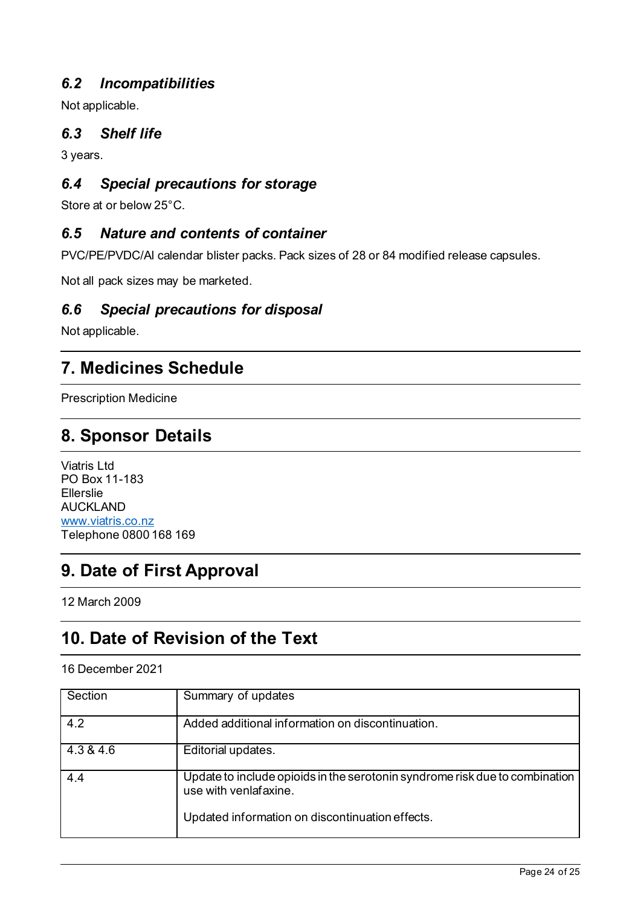# *6.2 Incompatibilities*

Not applicable.

# *6.3 Shelf life*

3 years.

# *6.4 Special precautions for storage*

Store at or below 25°C.

# *6.5 Nature and contents of container*

PVC/PE/PVDC/Al calendar blister packs. Pack sizes of 28 or 84 modified release capsules.

Not all pack sizes may be marketed.

# *6.6 Special precautions for disposal*

Not applicable.

# **7. Medicines Schedule**

Prescription Medicine

# **8. Sponsor Details**

Viatris Ltd PO Box 11-183 Ellerslie AUCKLAND [www.viatris.co.nz](http://www.viatris.co.nz/) Telephone 0800 168 169

# **9. Date of First Approval**

12 March 2009

# **10. Date of Revision of the Text**

#### 16 December 2021

| Section   | Summary of updates                                                                                   |
|-----------|------------------------------------------------------------------------------------------------------|
| 4.2       | Added additional information on discontinuation.                                                     |
| 4.3 & 4.6 | Editorial updates.                                                                                   |
| 4.4       | Update to include opioids in the serotonin syndrome risk due to combination<br>use with venlafaxine. |
|           | Updated information on discontinuation effects.                                                      |